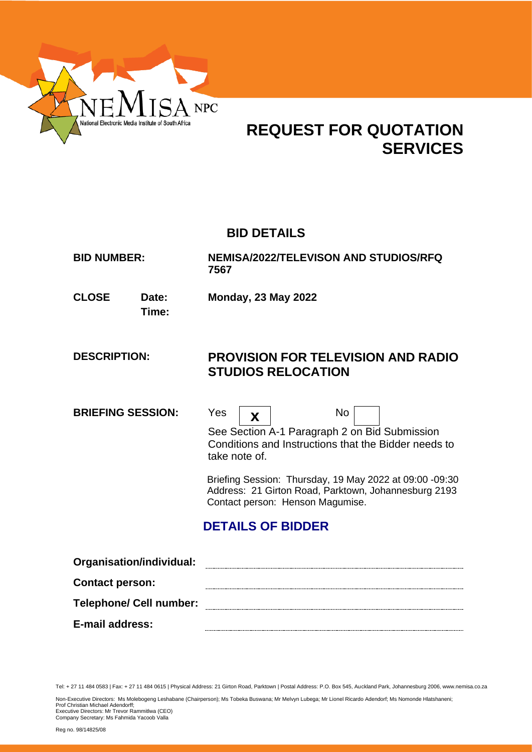

# **REQUEST FOR QUOTATION SERVICES**

# **BID DETAILS**

| <b>BID NUMBER:</b> | <b>NEMISA/2022/TELEVISON AND STUDIOS/RFQ</b> |
|--------------------|----------------------------------------------|
|                    | 7567                                         |

**CLOSE Date: Monday, 23 May 2022**

**Time:**

# **DESCRIPTION: PROVISION FOR TELEVISION AND RADIO STUDIOS RELOCATION**

**BRIEFING SESSION:** Yes **x** 



No

See Section A-1 Paragraph 2 on Bid Submission Conditions and Instructions that the Bidder needs to take note of.

 Briefing Session: Thursday, 19 May 2022 at 09:00 -09:30 Address: 21 Girton Road, Parktown, Johannesburg 2193 Contact person: Henson Magumise.

# **DETAILS OF BIDDER**

| Organisation/individual:       |  |
|--------------------------------|--|
| <b>Contact person:</b>         |  |
| <b>Telephone/ Cell number:</b> |  |
| E-mail address:                |  |

Tel: + 27 11 484 0583 | Fax: + 27 11 484 0615 | Physical Address: 21 Girton Road, Parktown | Postal Address: P.O. Box 545, Auckland Park, Johannesburg 2006, www.nemisa.co.za

Non-Executive Directors: Ms Molebogeng Leshabane (Chairperson); Ms Tobeka Buswana; Mr Melvyn Lubega; Mr Lionel Ricardo Adendorf; Ms Nomonde Hlatshaneni;

Prof Christian Michael Adendorff; Executive Directors: Mr Trevor Rammitlwa (CEO) Company Secretary: Ms Fahmida Yacoob Valla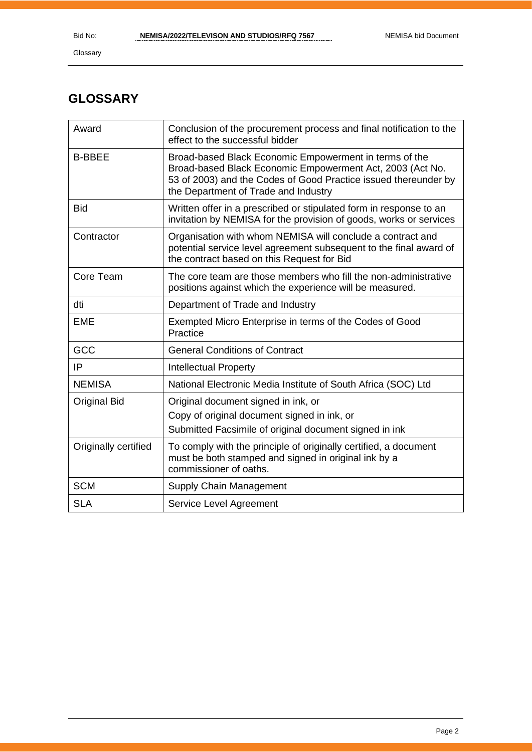# **GLOSSARY**

| Award                | Conclusion of the procurement process and final notification to the<br>effect to the successful bidder                                                                                                                         |
|----------------------|--------------------------------------------------------------------------------------------------------------------------------------------------------------------------------------------------------------------------------|
| <b>B-BBEE</b>        | Broad-based Black Economic Empowerment in terms of the<br>Broad-based Black Economic Empowerment Act, 2003 (Act No.<br>53 of 2003) and the Codes of Good Practice issued thereunder by<br>the Department of Trade and Industry |
| <b>Bid</b>           | Written offer in a prescribed or stipulated form in response to an<br>invitation by NEMISA for the provision of goods, works or services                                                                                       |
| Contractor           | Organisation with whom NEMISA will conclude a contract and<br>potential service level agreement subsequent to the final award of<br>the contract based on this Request for Bid                                                 |
| Core Team            | The core team are those members who fill the non-administrative<br>positions against which the experience will be measured.                                                                                                    |
| dti                  | Department of Trade and Industry                                                                                                                                                                                               |
| <b>EME</b>           | Exempted Micro Enterprise in terms of the Codes of Good<br>Practice                                                                                                                                                            |
| GCC                  | <b>General Conditions of Contract</b>                                                                                                                                                                                          |
| IP                   | <b>Intellectual Property</b>                                                                                                                                                                                                   |
| <b>NEMISA</b>        | National Electronic Media Institute of South Africa (SOC) Ltd                                                                                                                                                                  |
| <b>Original Bid</b>  | Original document signed in ink, or<br>Copy of original document signed in ink, or<br>Submitted Facsimile of original document signed in ink                                                                                   |
| Originally certified | To comply with the principle of originally certified, a document<br>must be both stamped and signed in original ink by a<br>commissioner of oaths.                                                                             |
| <b>SCM</b>           | Supply Chain Management                                                                                                                                                                                                        |
| <b>SLA</b>           | Service Level Agreement                                                                                                                                                                                                        |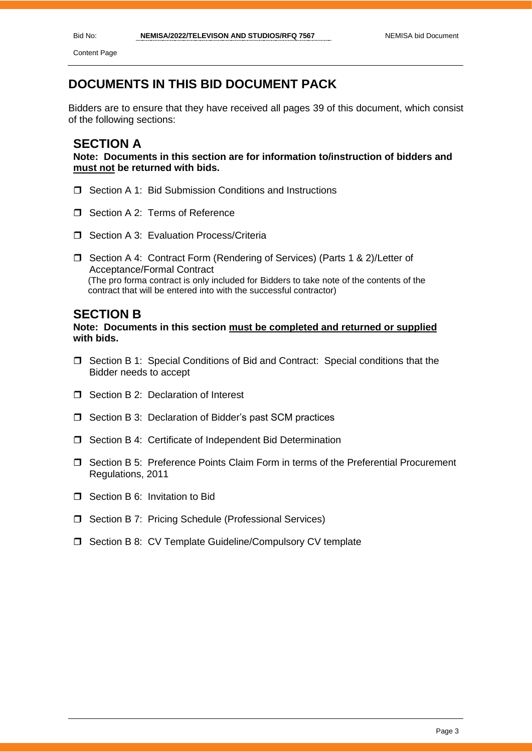Content Page

### **DOCUMENTS IN THIS BID DOCUMENT PACK**

Bidders are to ensure that they have received all pages 39 of this document, which consist of the following sections:

#### **SECTION A**

**Note: Documents in this section are for information to/instruction of bidders and must not be returned with bids.**

- □ Section A 1: Bid Submission Conditions and Instructions
- Section A 2: Terms of Reference
- □ Section A 3: Evaluation Process/Criteria
- □ Section A 4: Contract Form (Rendering of Services) (Parts 1 & 2)/Letter of Acceptance/Formal Contract (The pro forma contract is only included for Bidders to take note of the contents of the contract that will be entered into with the successful contractor)

#### **SECTION B**

#### **Note: Documents in this section must be completed and returned or supplied with bids.**

- Section B 1: Special Conditions of Bid and Contract: Special conditions that the Bidder needs to accept
- $\Box$  Section B 2: Declaration of Interest
- □ Section B 3: Declaration of Bidder's past SCM practices
- □ Section B 4: Certificate of Independent Bid Determination
- Section B 5: Preference Points Claim Form in terms of the Preferential Procurement Regulations, 2011
- □ Section B 6: Invitation to Bid
- □ Section B 7: Pricing Schedule (Professional Services)
- □ Section B 8: CV Template Guideline/Compulsory CV template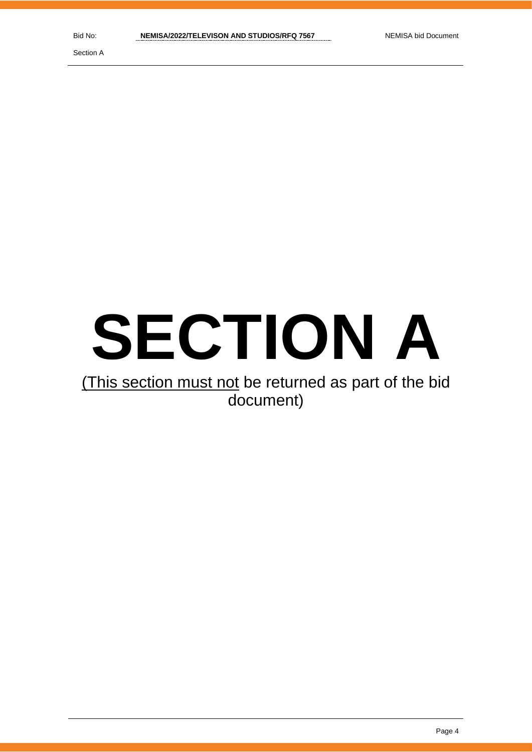Section A

# **SECTION A**

# (This section must not be returned as part of the bid document)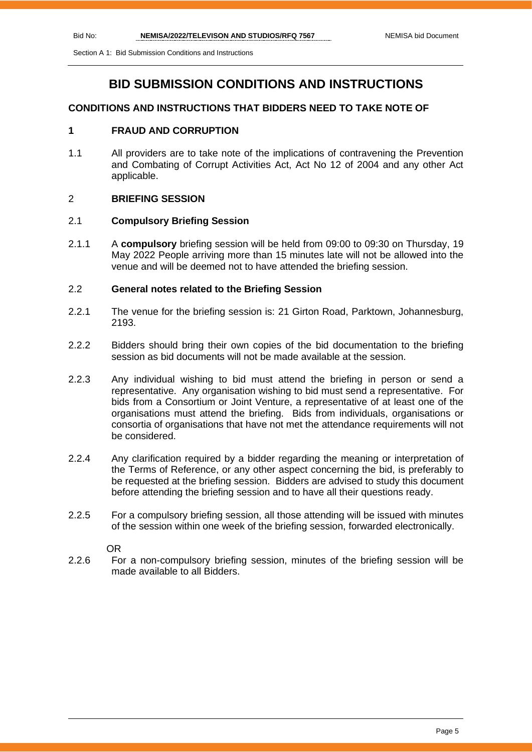Section A 1: Bid Submission Conditions and Instructions

### **BID SUBMISSION CONDITIONS AND INSTRUCTIONS**

#### **CONDITIONS AND INSTRUCTIONS THAT BIDDERS NEED TO TAKE NOTE OF**

#### **1 FRAUD AND CORRUPTION**

1.1 All providers are to take note of the implications of contravening the Prevention and Combating of Corrupt Activities Act, Act No 12 of 2004 and any other Act applicable.

#### 2 **BRIEFING SESSION**

#### 2.1 **Compulsory Briefing Session**

2.1.1 A **compulsory** briefing session will be held from 09:00 to 09:30 on Thursday, 19 May 2022 People arriving more than 15 minutes late will not be allowed into the venue and will be deemed not to have attended the briefing session.

#### 2.2 **General notes related to the Briefing Session**

- 2.2.1 The venue for the briefing session is: 21 Girton Road, Parktown, Johannesburg, 2193.
- 2.2.2 Bidders should bring their own copies of the bid documentation to the briefing session as bid documents will not be made available at the session.
- 2.2.3 Any individual wishing to bid must attend the briefing in person or send a representative. Any organisation wishing to bid must send a representative. For bids from a Consortium or Joint Venture, a representative of at least one of the organisations must attend the briefing. Bids from individuals, organisations or consortia of organisations that have not met the attendance requirements will not be considered.
- 2.2.4 Any clarification required by a bidder regarding the meaning or interpretation of the Terms of Reference, or any other aspect concerning the bid, is preferably to be requested at the briefing session. Bidders are advised to study this document before attending the briefing session and to have all their questions ready.
- 2.2.5 For a compulsory briefing session, all those attending will be issued with minutes of the session within one week of the briefing session, forwarded electronically.

OR

2.2.6 For a non-compulsory briefing session, minutes of the briefing session will be made available to all Bidders.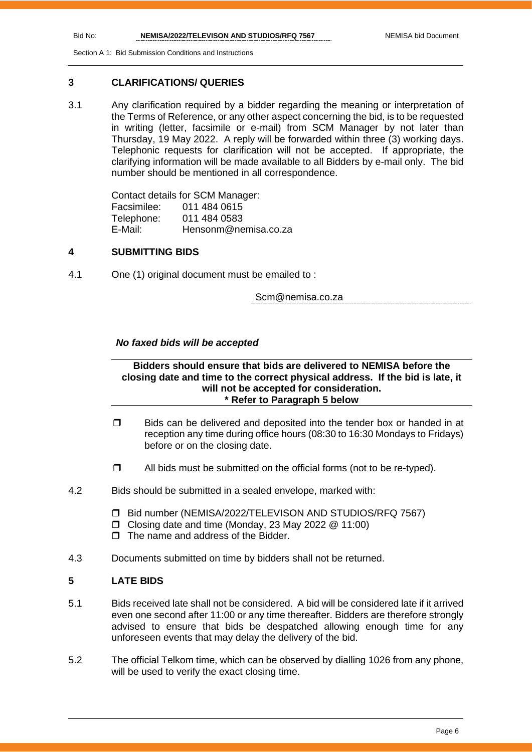Section A 1: Bid Submission Conditions and Instructions

#### **3 CLARIFICATIONS/ QUERIES**

3.1 Any clarification required by a bidder regarding the meaning or interpretation of the Terms of Reference, or any other aspect concerning the bid, is to be requested in writing (letter, facsimile or e-mail) from SCM Manager by not later than Thursday, 19 May 2022. A reply will be forwarded within three (3) working days. Telephonic requests for clarification will not be accepted. If appropriate, the clarifying information will be made available to all Bidders by e-mail only. The bid number should be mentioned in all correspondence.

> Contact details for SCM Manager: Facsimilee: 011 484 0615 Telephone: 011 484 0583 E-Mail: Hensonm@nemisa.co.za

#### **4 SUBMITTING BIDS**

4.1 One (1) original document must be emailed to :

Scm@nemisa.co.za

#### *No faxed bids will be accepted*

#### **Bidders should ensure that bids are delivered to NEMISA before the closing date and time to the correct physical address. If the bid is late, it will not be accepted for consideration. \* Refer to Paragraph 5 below**

- $\Box$  Bids can be delivered and deposited into the tender box or handed in at reception any time during office hours (08:30 to 16:30 Mondays to Fridays) before or on the closing date.
- $\Box$  All bids must be submitted on the official forms (not to be re-typed).
- 4.2 Bids should be submitted in a sealed envelope, marked with:
	- Bid number (NEMISA/2022/TELEVISON AND STUDIOS/RFQ 7567)
	- Closing date and time (Monday, 23 May 2022 @ 11:00)
	- $\Box$  The name and address of the Bidder
- 4.3 Documents submitted on time by bidders shall not be returned.

#### **5 LATE BIDS**

- 5.1 Bids received late shall not be considered. A bid will be considered late if it arrived even one second after 11:00 or any time thereafter. Bidders are therefore strongly advised to ensure that bids be despatched allowing enough time for any unforeseen events that may delay the delivery of the bid.
- 5.2 The official Telkom time, which can be observed by dialling 1026 from any phone, will be used to verify the exact closing time.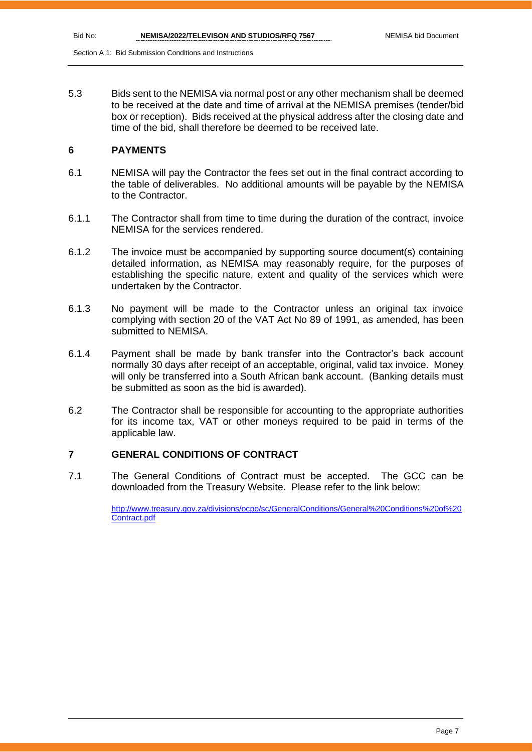Section A 1: Bid Submission Conditions and Instructions

5.3 Bids sent to the NEMISA via normal post or any other mechanism shall be deemed to be received at the date and time of arrival at the NEMISA premises (tender/bid box or reception). Bids received at the physical address after the closing date and time of the bid, shall therefore be deemed to be received late.

#### **6 PAYMENTS**

- 6.1 NEMISA will pay the Contractor the fees set out in the final contract according to the table of deliverables. No additional amounts will be payable by the NEMISA to the Contractor.
- 6.1.1 The Contractor shall from time to time during the duration of the contract, invoice NEMISA for the services rendered.
- 6.1.2 The invoice must be accompanied by supporting source document(s) containing detailed information, as NEMISA may reasonably require, for the purposes of establishing the specific nature, extent and quality of the services which were undertaken by the Contractor.
- 6.1.3 No payment will be made to the Contractor unless an original tax invoice complying with section 20 of the VAT Act No 89 of 1991, as amended, has been submitted to NEMISA.
- 6.1.4 Payment shall be made by bank transfer into the Contractor's back account normally 30 days after receipt of an acceptable, original, valid tax invoice. Money will only be transferred into a South African bank account. (Banking details must be submitted as soon as the bid is awarded).
- 6.2 The Contractor shall be responsible for accounting to the appropriate authorities for its income tax, VAT or other moneys required to be paid in terms of the applicable law.

#### **7 GENERAL CONDITIONS OF CONTRACT**

7.1 The General Conditions of Contract must be accepted. The GCC can be downloaded from the Treasury Website. Please refer to the link below:

> [http://www.treasury.gov.za/divisions/ocpo/sc/GeneralConditions/General%20Conditions%20of%20](http://www.treasury.gov.za/divisions/ocpo/sc/GeneralConditions/General%20Conditions%20of%20Contract.pdf) [Contract.pdf](http://www.treasury.gov.za/divisions/ocpo/sc/GeneralConditions/General%20Conditions%20of%20Contract.pdf)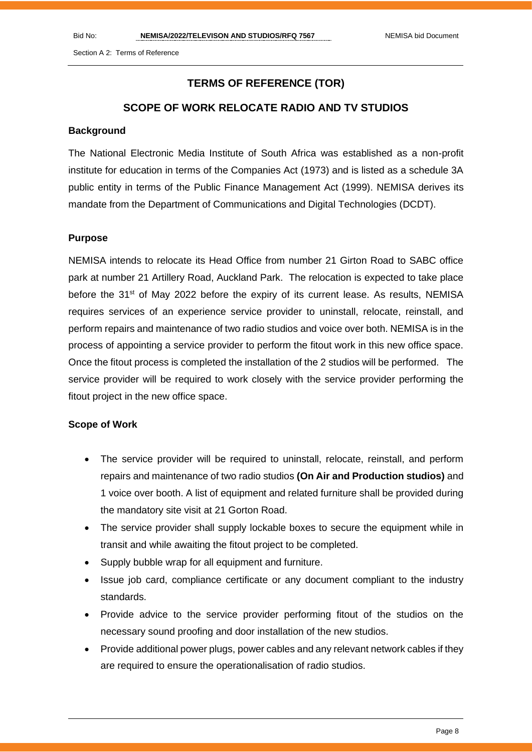Section A 2: Terms of Reference

#### **TERMS OF REFERENCE (TOR)**

#### **SCOPE OF WORK RELOCATE RADIO AND TV STUDIOS**

#### **Background**

The National Electronic Media Institute of South Africa was established as a non-profit institute for education in terms of the Companies Act (1973) and is listed as a schedule 3A public entity in terms of the Public Finance Management Act (1999). NEMISA derives its mandate from the Department of Communications and Digital Technologies (DCDT).

#### **Purpose**

NEMISA intends to relocate its Head Office from number 21 Girton Road to SABC office park at number 21 Artillery Road, Auckland Park. The relocation is expected to take place before the 31<sup>st</sup> of May 2022 before the expiry of its current lease. As results, NEMISA requires services of an experience service provider to uninstall, relocate, reinstall, and perform repairs and maintenance of two radio studios and voice over both. NEMISA is in the process of appointing a service provider to perform the fitout work in this new office space. Once the fitout process is completed the installation of the 2 studios will be performed. The service provider will be required to work closely with the service provider performing the fitout project in the new office space.

#### **Scope of Work**

- The service provider will be required to uninstall, relocate, reinstall, and perform repairs and maintenance of two radio studios **(On Air and Production studios)** and 1 voice over booth. A list of equipment and related furniture shall be provided during the mandatory site visit at 21 Gorton Road.
- The service provider shall supply lockable boxes to secure the equipment while in transit and while awaiting the fitout project to be completed.
- Supply bubble wrap for all equipment and furniture.
- Issue job card, compliance certificate or any document compliant to the industry standards.
- Provide advice to the service provider performing fitout of the studios on the necessary sound proofing and door installation of the new studios.
- Provide additional power plugs, power cables and any relevant network cables if they are required to ensure the operationalisation of radio studios.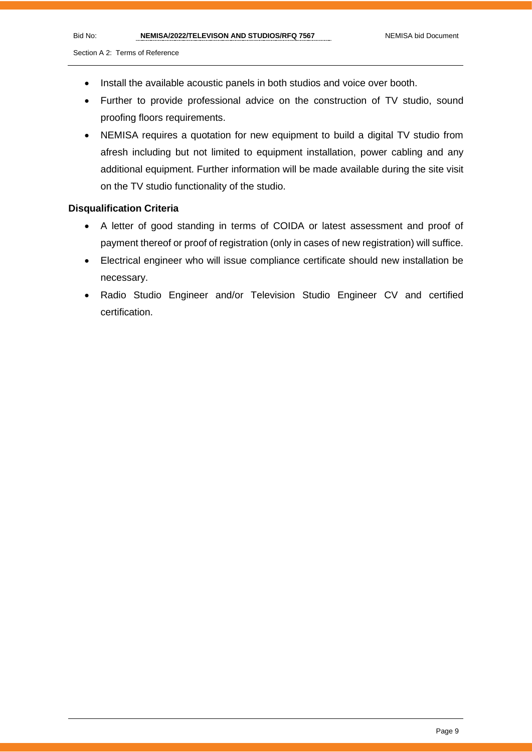#### Section A 2: Terms of Reference

- Install the available acoustic panels in both studios and voice over booth.
- Further to provide professional advice on the construction of TV studio, sound proofing floors requirements.
- NEMISA requires a quotation for new equipment to build a digital TV studio from afresh including but not limited to equipment installation, power cabling and any additional equipment. Further information will be made available during the site visit on the TV studio functionality of the studio.

#### **Disqualification Criteria**

- A letter of good standing in terms of COIDA or latest assessment and proof of payment thereof or proof of registration (only in cases of new registration) will suffice.
- Electrical engineer who will issue compliance certificate should new installation be necessary.
- Radio Studio Engineer and/or Television Studio Engineer CV and certified certification.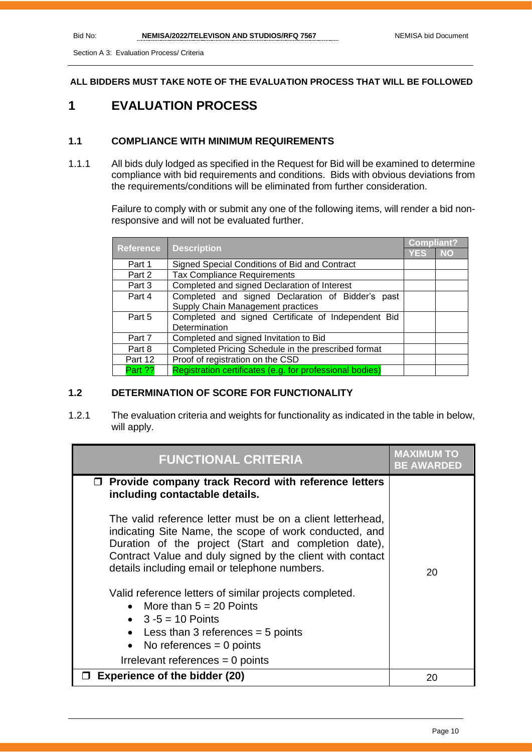Section A 3: Evaluation Process/ Criteria

**ALL BIDDERS MUST TAKE NOTE OF THE EVALUATION PROCESS THAT WILL BE FOLLOWED**

## **1 EVALUATION PROCESS**

#### **1.1 COMPLIANCE WITH MINIMUM REQUIREMENTS**

1.1.1 All bids duly lodged as specified in the Request for Bid will be examined to determine compliance with bid requirements and conditions. Bids with obvious deviations from the requirements/conditions will be eliminated from further consideration.

> Failure to comply with or submit any one of the following items, will render a bid nonresponsive and will not be evaluated further.

|                  |                                                          |     | Compliant? |  |
|------------------|----------------------------------------------------------|-----|------------|--|
| <b>Reference</b> | <b>Description</b>                                       | YES | <b>NO</b>  |  |
| Part 1           | Signed Special Conditions of Bid and Contract            |     |            |  |
| Part 2           | <b>Tax Compliance Requirements</b>                       |     |            |  |
| Part 3           | Completed and signed Declaration of Interest             |     |            |  |
| Part 4           | Completed and signed Declaration of Bidder's past        |     |            |  |
|                  | Supply Chain Management practices                        |     |            |  |
| Part 5           | Completed and signed Certificate of Independent Bid      |     |            |  |
|                  | Determination                                            |     |            |  |
| Part 7           | Completed and signed Invitation to Bid                   |     |            |  |
| Part 8           | Completed Pricing Schedule in the prescribed format      |     |            |  |
| Part 12          | Proof of registration on the CSD                         |     |            |  |
| Part ??          | Registration certificates (e.g. for professional bodies) |     |            |  |

#### **1.2 DETERMINATION OF SCORE FOR FUNCTIONALITY**

1.2.1 The evaluation criteria and weights for functionality as indicated in the table in below, will apply.

| <b>FUNCTIONAL CRITERIA</b>                                                                                                                                                                                                                                                                                                                                                                                                                                                                                                  | <b>MAXIMUM</b><br><b>BE AWARDED</b> |
|-----------------------------------------------------------------------------------------------------------------------------------------------------------------------------------------------------------------------------------------------------------------------------------------------------------------------------------------------------------------------------------------------------------------------------------------------------------------------------------------------------------------------------|-------------------------------------|
| $\Box$ Provide company track Record with reference letters<br>including contactable details.                                                                                                                                                                                                                                                                                                                                                                                                                                |                                     |
| The valid reference letter must be on a client letterhead,<br>indicating Site Name, the scope of work conducted, and<br>Duration of the project (Start and completion date),<br>Contract Value and duly signed by the client with contact<br>details including email or telephone numbers.<br>Valid reference letters of similar projects completed.<br>• More than $5 = 20$ Points<br>• $3 - 5 = 10$ Points<br>• Less than 3 references $=$ 5 points<br>• No references $= 0$ points<br>Irrelevant references $= 0$ points | 20                                  |
| <b>Experience of the bidder (20)</b>                                                                                                                                                                                                                                                                                                                                                                                                                                                                                        | 20                                  |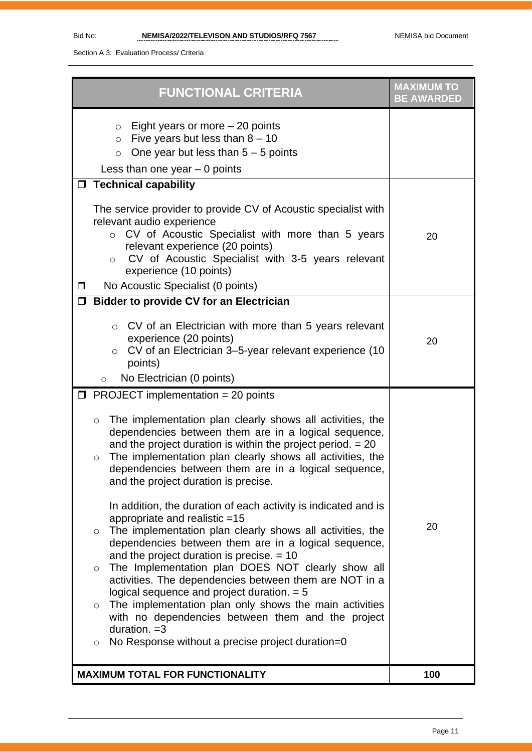Section A 3: Evaluation Process/ Criteria

| <b>FUNCTIONAL CRITERIA</b>                                                                                                                                                                                                                                                                                                                                            | <b>MAXIMUM TO</b><br><b>BE AWARDED</b> |
|-----------------------------------------------------------------------------------------------------------------------------------------------------------------------------------------------------------------------------------------------------------------------------------------------------------------------------------------------------------------------|----------------------------------------|
| Eight years or more $-20$ points<br>$\circ$<br>Five years but less than $8 - 10$<br>$\circ$<br>One year but less than $5 - 5$ points<br>$\circ$<br>Less than one year $-0$ points                                                                                                                                                                                     |                                        |
| □ Technical capability<br>The service provider to provide CV of Acoustic specialist with<br>relevant audio experience<br>CV of Acoustic Specialist with more than 5 years<br>$\circ$<br>relevant experience (20 points)<br>CV of Acoustic Specialist with 3-5 years relevant<br>$\circ$                                                                               | 20                                     |
| experience (10 points)<br>No Acoustic Specialist (0 points)<br>□<br><b>Bidder to provide CV for an Electrician</b><br>$\Box$                                                                                                                                                                                                                                          |                                        |
| CV of an Electrician with more than 5 years relevant<br>$\circ$<br>experience (20 points)<br>CV of an Electrician 3-5-year relevant experience (10<br>$\circ$<br>points)                                                                                                                                                                                              | 20                                     |
| No Electrician (0 points)<br>$\circ$<br>$\Box$ PROJECT implementation = 20 points                                                                                                                                                                                                                                                                                     |                                        |
| The implementation plan clearly shows all activities, the<br>$\circ$<br>dependencies between them are in a logical sequence,<br>and the project duration is within the project period. $= 20$<br>The implementation plan clearly shows all activities, the<br>$\circ$<br>dependencies between them are in a logical sequence,<br>and the project duration is precise. |                                        |
| In addition, the duration of each activity is indicated and is<br>appropriate and realistic =15<br>The implementation plan clearly shows all activities, the<br>$\circ$<br>dependencies between them are in a logical sequence,<br>and the project duration is precise. $= 10$<br>The Implementation plan DOES NOT clearly show all<br>$\circ$                        | 20                                     |
| activities. The dependencies between them are NOT in a<br>logical sequence and project duration. $= 5$<br>The implementation plan only shows the main activities<br>$\circ$<br>with no dependencies between them and the project<br>duration. $=3$<br>No Response without a precise project duration=0<br>$\circ$                                                     |                                        |
| <b>MAXIMUM TOTAL FOR FUNCTIONALITY</b>                                                                                                                                                                                                                                                                                                                                | 100                                    |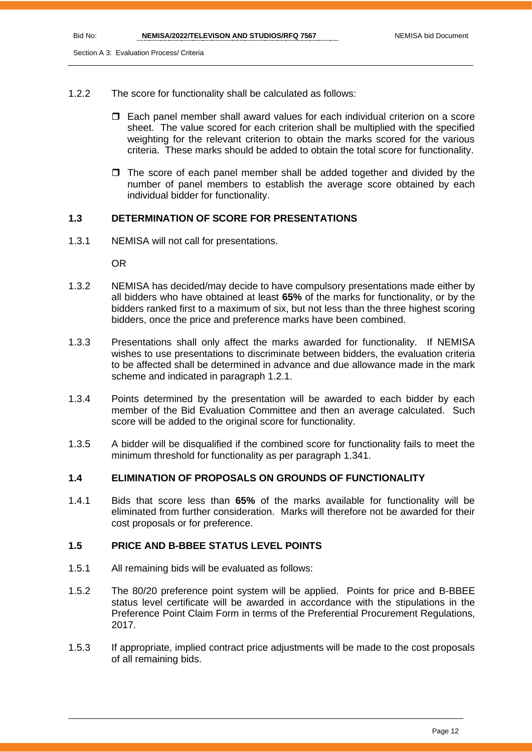- 1.2.2 The score for functionality shall be calculated as follows:
	- Each panel member shall award values for each individual criterion on a score sheet. The value scored for each criterion shall be multiplied with the specified weighting for the relevant criterion to obtain the marks scored for the various criteria. These marks should be added to obtain the total score for functionality.
	- $\Box$  The score of each panel member shall be added together and divided by the number of panel members to establish the average score obtained by each individual bidder for functionality.

#### **1.3 DETERMINATION OF SCORE FOR PRESENTATIONS**

1.3.1 NEMISA will not call for presentations.

OR

- 1.3.2 NEMISA has decided/may decide to have compulsory presentations made either by all bidders who have obtained at least **65%** of the marks for functionality, or by the bidders ranked first to a maximum of six, but not less than the three highest scoring bidders, once the price and preference marks have been combined.
- 1.3.3 Presentations shall only affect the marks awarded for functionality. If NEMISA wishes to use presentations to discriminate between bidders, the evaluation criteria to be affected shall be determined in advance and due allowance made in the mark scheme and indicated in paragraph 1.2.1.
- 1.3.4 Points determined by the presentation will be awarded to each bidder by each member of the Bid Evaluation Committee and then an average calculated. Such score will be added to the original score for functionality.
- 1.3.5 A bidder will be disqualified if the combined score for functionality fails to meet the minimum threshold for functionality as per paragraph 1.341.

#### **1.4 ELIMINATION OF PROPOSALS ON GROUNDS OF FUNCTIONALITY**

1.4.1 Bids that score less than **65%** of the marks available for functionality will be eliminated from further consideration. Marks will therefore not be awarded for their cost proposals or for preference.

#### **1.5 PRICE AND B-BBEE STATUS LEVEL POINTS**

- 1.5.1 All remaining bids will be evaluated as follows:
- 1.5.2 The 80/20 preference point system will be applied. Points for price and B-BBEE status level certificate will be awarded in accordance with the stipulations in the Preference Point Claim Form in terms of the Preferential Procurement Regulations, 2017.
- 1.5.3 If appropriate, implied contract price adjustments will be made to the cost proposals of all remaining bids.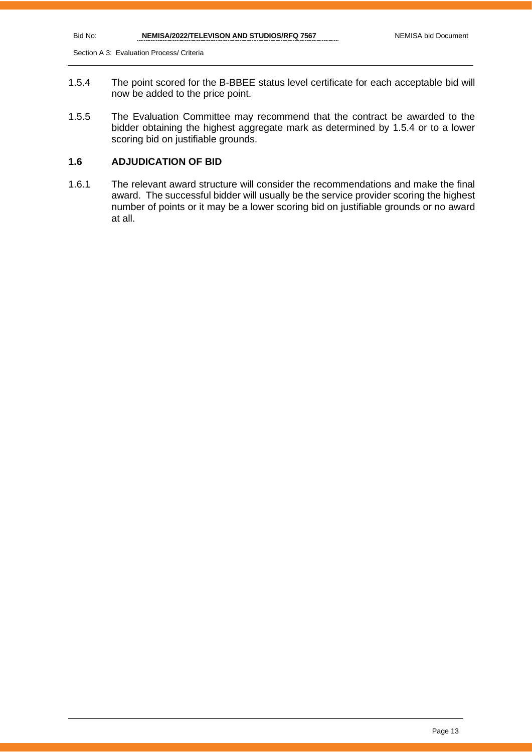Section A 3: Evaluation Process/ Criteria

- 1.5.4 The point scored for the B-BBEE status level certificate for each acceptable bid will now be added to the price point.
- 1.5.5 The Evaluation Committee may recommend that the contract be awarded to the bidder obtaining the highest aggregate mark as determined by 1.5.4 or to a lower scoring bid on justifiable grounds.

#### **1.6 ADJUDICATION OF BID**

1.6.1 The relevant award structure will consider the recommendations and make the final award. The successful bidder will usually be the service provider scoring the highest number of points or it may be a lower scoring bid on justifiable grounds or no award at all.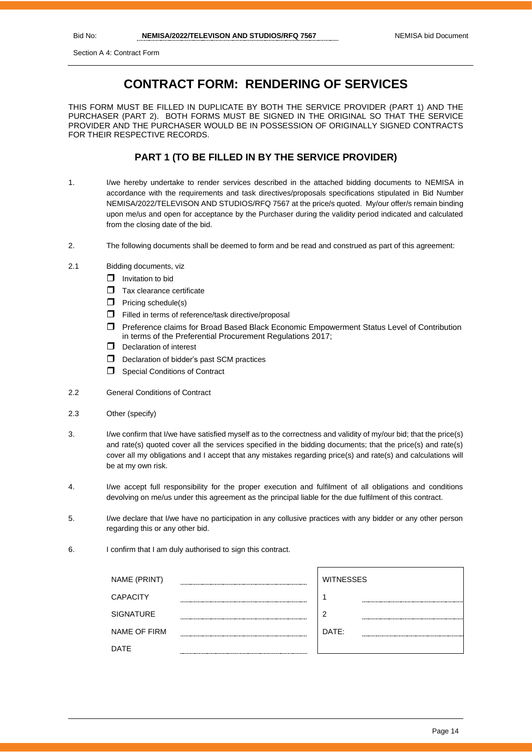Section A 4: Contract Form

# **CONTRACT FORM: RENDERING OF SERVICES**

THIS FORM MUST BE FILLED IN DUPLICATE BY BOTH THE SERVICE PROVIDER (PART 1) AND THE PURCHASER (PART 2). BOTH FORMS MUST BE SIGNED IN THE ORIGINAL SO THAT THE SERVICE PROVIDER AND THE PURCHASER WOULD BE IN POSSESSION OF ORIGINALLY SIGNED CONTRACTS FOR THEIR RESPECTIVE RECORDS.

#### **PART 1 (TO BE FILLED IN BY THE SERVICE PROVIDER)**

- 1. I/we hereby undertake to render services described in the attached bidding documents to NEMISA in accordance with the requirements and task directives/proposals specifications stipulated in Bid Number NEMISA/2022/TELEVISON AND STUDIOS/RFQ 7567 at the price/s quoted. My/our offer/s remain binding upon me/us and open for acceptance by the Purchaser during the validity period indicated and calculated from the closing date of the bid.
- 2. The following documents shall be deemed to form and be read and construed as part of this agreement:
- 2.1 Bidding documents, viz
	- $\Box$  Invitation to bid
	- $\Box$  Tax clearance certificate
	- $\Box$  Pricing schedule(s)
	- Filled in terms of reference/task directive/proposal
	- Preference claims for Broad Based Black Economic Empowerment Status Level of Contribution in terms of the Preferential Procurement Regulations 2017;
	- D Declaration of interest
	- $\Box$  Declaration of bidder's past SCM practices
	- **Special Conditions of Contract**
- 2.2 General Conditions of Contract
- 2.3 Other (specify)
- 3. I/we confirm that I/we have satisfied myself as to the correctness and validity of my/our bid; that the price(s) and rate(s) quoted cover all the services specified in the bidding documents; that the price(s) and rate(s) cover all my obligations and I accept that any mistakes regarding price(s) and rate(s) and calculations will be at my own risk.
- 4. I/we accept full responsibility for the proper execution and fulfilment of all obligations and conditions devolving on me/us under this agreement as the principal liable for the due fulfilment of this contract.
- 5. I/we declare that I/we have no participation in any collusive practices with any bidder or any other person regarding this or any other bid.
- 6. I confirm that I am duly authorised to sign this contract.

| NAME (PRINT)        |        | <b>WITNESSES</b> |
|---------------------|--------|------------------|
| <b>CAPACITY</b>     |        |                  |
| <b>SIGNATURE</b>    | ------ | 2                |
| <b>NAME OF FIRM</b> |        | DATE:            |
| <b>DATE</b>         |        |                  |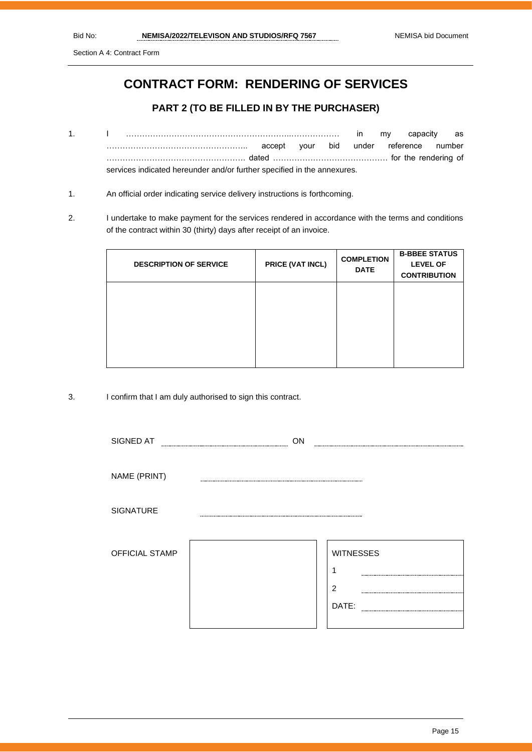Section A 4: Contract Form

# **CONTRACT FORM: RENDERING OF SERVICES**

#### **PART 2 (TO BE FILLED IN BY THE PURCHASER)**

- 1. I ……………………………………………………..……………… in my capacity as …………………………………………….. accept your bid under reference number ……………………………………………. dated ……………………………………. for the rendering of services indicated hereunder and/or further specified in the annexures.
- 1. An official order indicating service delivery instructions is forthcoming.
- 2. I undertake to make payment for the services rendered in accordance with the terms and conditions of the contract within 30 (thirty) days after receipt of an invoice.

| <b>DESCRIPTION OF SERVICE</b> | PRICE (VAT INCL) | <b>COMPLETION</b><br><b>DATE</b> | <b>B-BBEE STATUS</b><br><b>LEVEL OF</b><br><b>CONTRIBUTION</b> |
|-------------------------------|------------------|----------------------------------|----------------------------------------------------------------|
|                               |                  |                                  |                                                                |
|                               |                  |                                  |                                                                |

3. I confirm that I am duly authorised to sign this contract.

| SIGNED AT        | ON |                  |
|------------------|----|------------------|
|                  |    |                  |
| NAME (PRINT)     |    |                  |
| <b>SIGNATURE</b> |    |                  |
| OFFICIAL STAMP   |    | <b>WITNESSES</b> |
|                  |    | ٠                |
|                  |    | $\overline{2}$   |
|                  |    | DATE:            |
|                  |    |                  |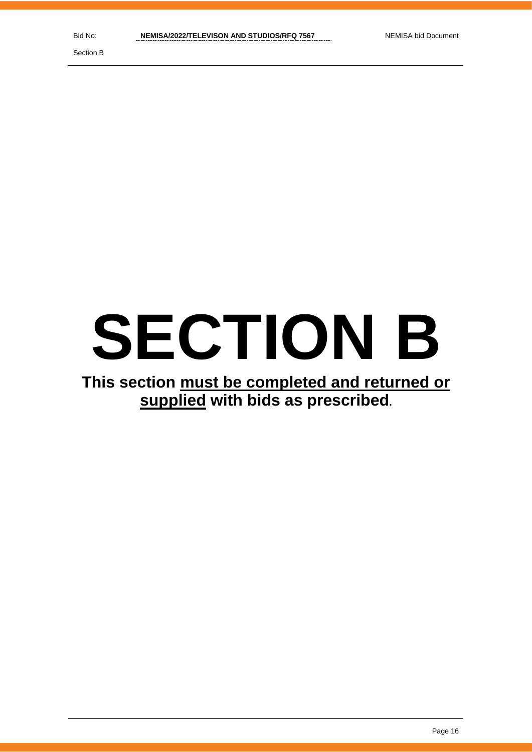Section B

# **SECTION B**

# **This section must be completed and returned or supplied with bids as prescribed.**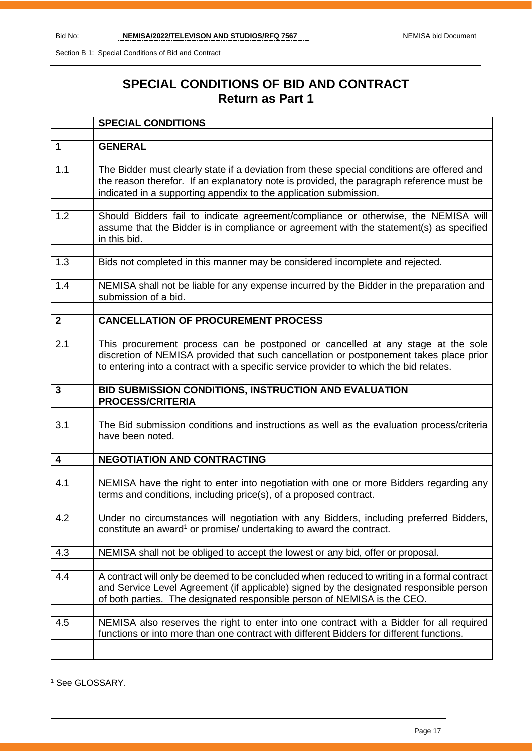# **SPECIAL CONDITIONS OF BID AND CONTRACT Return as Part 1**

|              | <b>SPECIAL CONDITIONS</b>                                                                                                                                                                                                                                           |
|--------------|---------------------------------------------------------------------------------------------------------------------------------------------------------------------------------------------------------------------------------------------------------------------|
|              |                                                                                                                                                                                                                                                                     |
| $\mathbf 1$  | <b>GENERAL</b>                                                                                                                                                                                                                                                      |
|              |                                                                                                                                                                                                                                                                     |
| 1.1          | The Bidder must clearly state if a deviation from these special conditions are offered and<br>the reason therefor. If an explanatory note is provided, the paragraph reference must be<br>indicated in a supporting appendix to the application submission.         |
| 1.2          | Should Bidders fail to indicate agreement/compliance or otherwise, the NEMISA will                                                                                                                                                                                  |
|              | assume that the Bidder is in compliance or agreement with the statement(s) as specified<br>in this bid.                                                                                                                                                             |
|              |                                                                                                                                                                                                                                                                     |
| 1.3          | Bids not completed in this manner may be considered incomplete and rejected.                                                                                                                                                                                        |
| 1.4          | NEMISA shall not be liable for any expense incurred by the Bidder in the preparation and<br>submission of a bid.                                                                                                                                                    |
|              |                                                                                                                                                                                                                                                                     |
| $\mathbf{2}$ | <b>CANCELLATION OF PROCUREMENT PROCESS</b>                                                                                                                                                                                                                          |
|              |                                                                                                                                                                                                                                                                     |
| 2.1          | This procurement process can be postponed or cancelled at any stage at the sole<br>discretion of NEMISA provided that such cancellation or postponement takes place prior<br>to entering into a contract with a specific service provider to which the bid relates. |
| 3            | BID SUBMISSION CONDITIONS, INSTRUCTION AND EVALUATION                                                                                                                                                                                                               |
|              | <b>PROCESS/CRITERIA</b>                                                                                                                                                                                                                                             |
|              |                                                                                                                                                                                                                                                                     |
| 3.1          | The Bid submission conditions and instructions as well as the evaluation process/criteria<br>have been noted.                                                                                                                                                       |
|              |                                                                                                                                                                                                                                                                     |
| 4            | <b>NEGOTIATION AND CONTRACTING</b>                                                                                                                                                                                                                                  |
|              |                                                                                                                                                                                                                                                                     |
| 4.1          | NEMISA have the right to enter into negotiation with one or more Bidders regarding any<br>terms and conditions, including price(s), of a proposed contract.                                                                                                         |
| 4.2          |                                                                                                                                                                                                                                                                     |
|              | Under no circumstances will negotiation with any Bidders, including preferred Bidders,                                                                                                                                                                              |
|              | constitute an award <sup>1</sup> or promise/ undertaking to award the contract.                                                                                                                                                                                     |
|              |                                                                                                                                                                                                                                                                     |
| 4.3          | NEMISA shall not be obliged to accept the lowest or any bid, offer or proposal.                                                                                                                                                                                     |
| 4.4          | A contract will only be deemed to be concluded when reduced to writing in a formal contract                                                                                                                                                                         |
|              | and Service Level Agreement (if applicable) signed by the designated responsible person<br>of both parties. The designated responsible person of NEMISA is the CEO.                                                                                                 |
|              |                                                                                                                                                                                                                                                                     |
| 4.5          | NEMISA also reserves the right to enter into one contract with a Bidder for all required                                                                                                                                                                            |
|              | functions or into more than one contract with different Bidders for different functions.                                                                                                                                                                            |
|              |                                                                                                                                                                                                                                                                     |

<sup>1</sup> See GLOSSARY.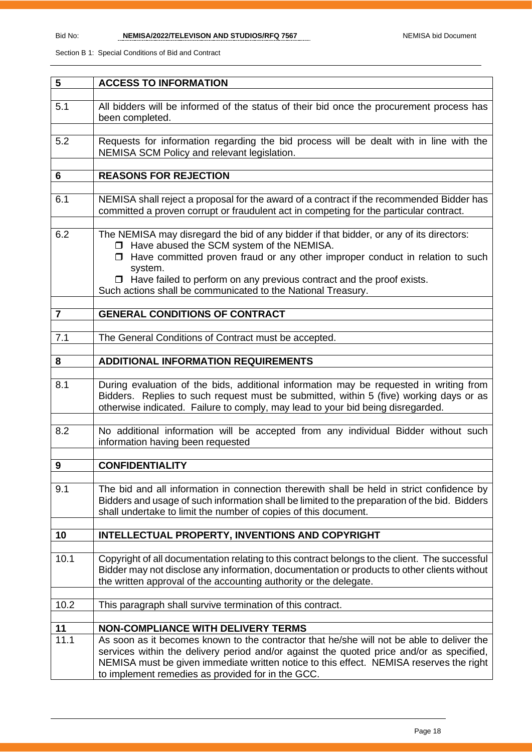| 5              | <b>ACCESS TO INFORMATION</b>                                                                                                                                                                                                                                                                                                          |
|----------------|---------------------------------------------------------------------------------------------------------------------------------------------------------------------------------------------------------------------------------------------------------------------------------------------------------------------------------------|
|                |                                                                                                                                                                                                                                                                                                                                       |
| 5.1            | All bidders will be informed of the status of their bid once the procurement process has<br>been completed.                                                                                                                                                                                                                           |
|                |                                                                                                                                                                                                                                                                                                                                       |
| 5.2            | Requests for information regarding the bid process will be dealt with in line with the<br>NEMISA SCM Policy and relevant legislation.                                                                                                                                                                                                 |
|                |                                                                                                                                                                                                                                                                                                                                       |
| 6              | <b>REASONS FOR REJECTION</b>                                                                                                                                                                                                                                                                                                          |
| 6.1            | NEMISA shall reject a proposal for the award of a contract if the recommended Bidder has<br>committed a proven corrupt or fraudulent act in competing for the particular contract.                                                                                                                                                    |
|                |                                                                                                                                                                                                                                                                                                                                       |
| 6.2            | The NEMISA may disregard the bid of any bidder if that bidder, or any of its directors:<br>□ Have abused the SCM system of the NEMISA.<br>$\Box$ Have committed proven fraud or any other improper conduct in relation to such<br>system.<br>$\Box$ Have failed to perform on any previous contract and the proof exists.             |
|                | Such actions shall be communicated to the National Treasury.                                                                                                                                                                                                                                                                          |
|                |                                                                                                                                                                                                                                                                                                                                       |
| $\overline{7}$ | <b>GENERAL CONDITIONS OF CONTRACT</b>                                                                                                                                                                                                                                                                                                 |
|                |                                                                                                                                                                                                                                                                                                                                       |
| 7.1            | The General Conditions of Contract must be accepted.                                                                                                                                                                                                                                                                                  |
|                |                                                                                                                                                                                                                                                                                                                                       |
| 8              | <b>ADDITIONAL INFORMATION REQUIREMENTS</b>                                                                                                                                                                                                                                                                                            |
| 8.1            | During evaluation of the bids, additional information may be requested in writing from<br>Bidders. Replies to such request must be submitted, within 5 (five) working days or as<br>otherwise indicated. Failure to comply, may lead to your bid being disregarded.                                                                   |
| 8.2            | No additional information will be accepted from any individual Bidder without such<br>information having been requested                                                                                                                                                                                                               |
|                |                                                                                                                                                                                                                                                                                                                                       |
| 9              | <b>CONFIDENTIALITY</b>                                                                                                                                                                                                                                                                                                                |
| 9.1            | The bid and all information in connection therewith shall be held in strict confidence by<br>Bidders and usage of such information shall be limited to the preparation of the bid. Bidders<br>shall undertake to limit the number of copies of this document.                                                                         |
| 10             | INTELLECTUAL PROPERTY, INVENTIONS AND COPYRIGHT                                                                                                                                                                                                                                                                                       |
|                |                                                                                                                                                                                                                                                                                                                                       |
| 10.1           | Copyright of all documentation relating to this contract belongs to the client. The successful<br>Bidder may not disclose any information, documentation or products to other clients without<br>the written approval of the accounting authority or the delegate.                                                                    |
| 10.2           | This paragraph shall survive termination of this contract.                                                                                                                                                                                                                                                                            |
|                |                                                                                                                                                                                                                                                                                                                                       |
| 11             | <b>NON-COMPLIANCE WITH DELIVERY TERMS</b>                                                                                                                                                                                                                                                                                             |
| 11.1           | As soon as it becomes known to the contractor that he/she will not be able to deliver the<br>services within the delivery period and/or against the quoted price and/or as specified,<br>NEMISA must be given immediate written notice to this effect. NEMISA reserves the right<br>to implement remedies as provided for in the GCC. |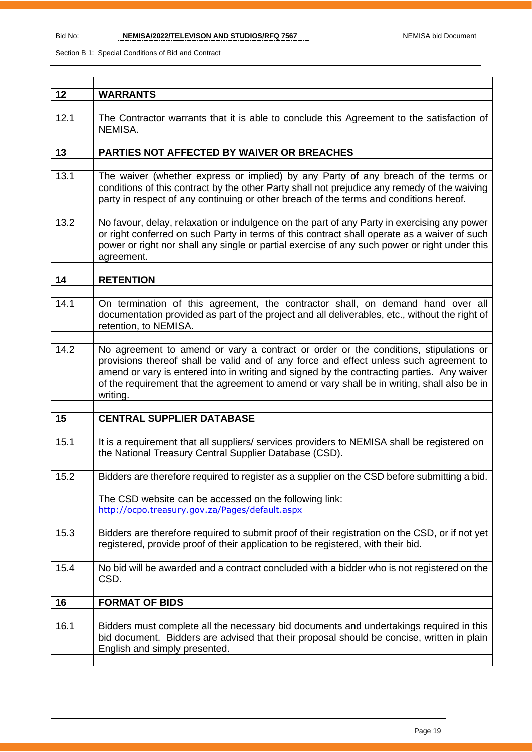| 12   | <b>WARRANTS</b>                                                                                                                                                                                                                                                                                                                                                                          |
|------|------------------------------------------------------------------------------------------------------------------------------------------------------------------------------------------------------------------------------------------------------------------------------------------------------------------------------------------------------------------------------------------|
| 12.1 | The Contractor warrants that it is able to conclude this Agreement to the satisfaction of<br>NEMISA.                                                                                                                                                                                                                                                                                     |
|      |                                                                                                                                                                                                                                                                                                                                                                                          |
| 13   | PARTIES NOT AFFECTED BY WAIVER OR BREACHES                                                                                                                                                                                                                                                                                                                                               |
| 13.1 | The waiver (whether express or implied) by any Party of any breach of the terms or<br>conditions of this contract by the other Party shall not prejudice any remedy of the waiving<br>party in respect of any continuing or other breach of the terms and conditions hereof.                                                                                                             |
| 13.2 | No favour, delay, relaxation or indulgence on the part of any Party in exercising any power<br>or right conferred on such Party in terms of this contract shall operate as a waiver of such<br>power or right nor shall any single or partial exercise of any such power or right under this<br>agreement.                                                                               |
| 14   | <b>RETENTION</b>                                                                                                                                                                                                                                                                                                                                                                         |
|      |                                                                                                                                                                                                                                                                                                                                                                                          |
| 14.1 | On termination of this agreement, the contractor shall, on demand hand over all<br>documentation provided as part of the project and all deliverables, etc., without the right of<br>retention, to NEMISA.                                                                                                                                                                               |
| 14.2 | No agreement to amend or vary a contract or order or the conditions, stipulations or<br>provisions thereof shall be valid and of any force and effect unless such agreement to<br>amend or vary is entered into in writing and signed by the contracting parties. Any waiver<br>of the requirement that the agreement to amend or vary shall be in writing, shall also be in<br>writing. |
|      |                                                                                                                                                                                                                                                                                                                                                                                          |
| 15   | <b>CENTRAL SUPPLIER DATABASE</b>                                                                                                                                                                                                                                                                                                                                                         |
| 15.1 | It is a requirement that all suppliers/ services providers to NEMISA shall be registered on<br>the National Treasury Central Supplier Database (CSD).                                                                                                                                                                                                                                    |
| 15.2 |                                                                                                                                                                                                                                                                                                                                                                                          |
|      | Bidders are therefore required to register as a supplier on the CSD before submitting a bid.                                                                                                                                                                                                                                                                                             |
|      | The CSD website can be accessed on the following link:<br>http://ocpo.treasury.gov.za/Pages/default.aspx                                                                                                                                                                                                                                                                                 |
| 15.3 | Bidders are therefore required to submit proof of their registration on the CSD, or if not yet<br>registered, provide proof of their application to be registered, with their bid.                                                                                                                                                                                                       |
| 15.4 | No bid will be awarded and a contract concluded with a bidder who is not registered on the<br>CSD.                                                                                                                                                                                                                                                                                       |
|      |                                                                                                                                                                                                                                                                                                                                                                                          |
| 16   | <b>FORMAT OF BIDS</b>                                                                                                                                                                                                                                                                                                                                                                    |
| 16.1 | Bidders must complete all the necessary bid documents and undertakings required in this<br>bid document. Bidders are advised that their proposal should be concise, written in plain<br>English and simply presented.                                                                                                                                                                    |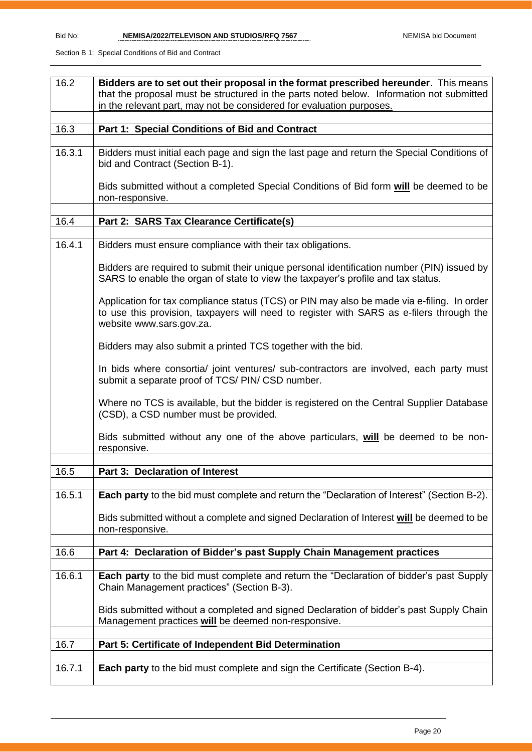| 16.2   | Bidders are to set out their proposal in the format prescribed hereunder. This means                                                                                                                               |
|--------|--------------------------------------------------------------------------------------------------------------------------------------------------------------------------------------------------------------------|
|        | that the proposal must be structured in the parts noted below. Information not submitted                                                                                                                           |
|        | in the relevant part, may not be considered for evaluation purposes.                                                                                                                                               |
|        |                                                                                                                                                                                                                    |
| 16.3   | Part 1: Special Conditions of Bid and Contract                                                                                                                                                                     |
|        |                                                                                                                                                                                                                    |
| 16.3.1 | Bidders must initial each page and sign the last page and return the Special Conditions of<br>bid and Contract (Section B-1).                                                                                      |
|        | Bids submitted without a completed Special Conditions of Bid form will be deemed to be<br>non-responsive.                                                                                                          |
|        |                                                                                                                                                                                                                    |
| 16.4   | Part 2: SARS Tax Clearance Certificate(s)                                                                                                                                                                          |
|        |                                                                                                                                                                                                                    |
| 16.4.1 | Bidders must ensure compliance with their tax obligations.                                                                                                                                                         |
|        | Bidders are required to submit their unique personal identification number (PIN) issued by<br>SARS to enable the organ of state to view the taxpayer's profile and tax status.                                     |
|        | Application for tax compliance status (TCS) or PIN may also be made via e-filing. In order<br>to use this provision, taxpayers will need to register with SARS as e-filers through the<br>website www.sars.gov.za. |
|        | Bidders may also submit a printed TCS together with the bid.                                                                                                                                                       |
|        | In bids where consortia/ joint ventures/ sub-contractors are involved, each party must<br>submit a separate proof of TCS/ PIN/ CSD number.                                                                         |
|        | Where no TCS is available, but the bidder is registered on the Central Supplier Database<br>(CSD), a CSD number must be provided.                                                                                  |
|        | Bids submitted without any one of the above particulars, will be deemed to be non-<br>responsive.                                                                                                                  |
| 16.5   |                                                                                                                                                                                                                    |
|        | Part 3: Declaration of Interest                                                                                                                                                                                    |
| 16.5.1 | Each party to the bid must complete and return the "Declaration of Interest" (Section B-2).                                                                                                                        |
|        | Bids submitted without a complete and signed Declaration of Interest will be deemed to be<br>non-responsive.                                                                                                       |
|        |                                                                                                                                                                                                                    |
| 16.6   | Part 4: Declaration of Bidder's past Supply Chain Management practices                                                                                                                                             |
| 16.6.1 | <b>Each party</b> to the bid must complete and return the "Declaration of bidder's past Supply<br>Chain Management practices" (Section B-3).                                                                       |
|        | Bids submitted without a completed and signed Declaration of bidder's past Supply Chain<br>Management practices will be deemed non-responsive.                                                                     |
|        |                                                                                                                                                                                                                    |
| 16.7   | Part 5: Certificate of Independent Bid Determination                                                                                                                                                               |
|        |                                                                                                                                                                                                                    |
| 16.7.1 | <b>Each party</b> to the bid must complete and sign the Certificate (Section B-4).                                                                                                                                 |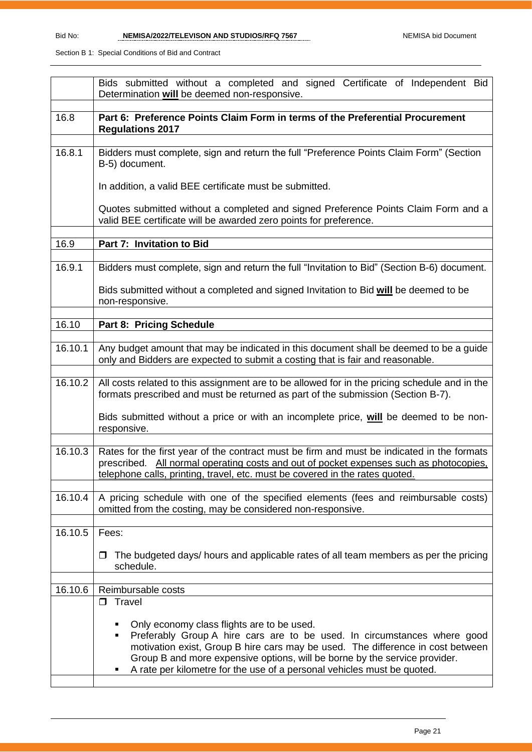|         | Bids submitted without a completed and signed Certificate of Independent Bid<br>Determination will be deemed non-responsive.                                                                                                                                                                                                                                            |
|---------|-------------------------------------------------------------------------------------------------------------------------------------------------------------------------------------------------------------------------------------------------------------------------------------------------------------------------------------------------------------------------|
| 16.8    | Part 6: Preference Points Claim Form in terms of the Preferential Procurement<br><b>Regulations 2017</b>                                                                                                                                                                                                                                                                |
| 16.8.1  | Bidders must complete, sign and return the full "Preference Points Claim Form" (Section<br>B-5) document.                                                                                                                                                                                                                                                               |
|         | In addition, a valid BEE certificate must be submitted.                                                                                                                                                                                                                                                                                                                 |
|         | Quotes submitted without a completed and signed Preference Points Claim Form and a<br>valid BEE certificate will be awarded zero points for preference.                                                                                                                                                                                                                 |
| 16.9    | Part 7: Invitation to Bid                                                                                                                                                                                                                                                                                                                                               |
| 16.9.1  | Bidders must complete, sign and return the full "Invitation to Bid" (Section B-6) document.                                                                                                                                                                                                                                                                             |
|         | Bids submitted without a completed and signed Invitation to Bid will be deemed to be<br>non-responsive.                                                                                                                                                                                                                                                                 |
| 16.10   | Part 8: Pricing Schedule                                                                                                                                                                                                                                                                                                                                                |
| 16.10.1 | Any budget amount that may be indicated in this document shall be deemed to be a guide<br>only and Bidders are expected to submit a costing that is fair and reasonable.                                                                                                                                                                                                |
| 16.10.2 | All costs related to this assignment are to be allowed for in the pricing schedule and in the<br>formats prescribed and must be returned as part of the submission (Section B-7).                                                                                                                                                                                       |
|         | Bids submitted without a price or with an incomplete price, will be deemed to be non-<br>responsive.                                                                                                                                                                                                                                                                    |
| 16.10.3 | Rates for the first year of the contract must be firm and must be indicated in the formats<br>prescribed. All normal operating costs and out of pocket expenses such as photocopies.<br>telephone calls, printing, travel, etc. must be covered in the rates quoted.                                                                                                    |
| 16.10.4 | A pricing schedule with one of the specified elements (fees and reimbursable costs)<br>omitted from the costing, may be considered non-responsive.                                                                                                                                                                                                                      |
| 16.10.5 | Fees:                                                                                                                                                                                                                                                                                                                                                                   |
|         | The budgeted days/ hours and applicable rates of all team members as per the pricing<br>□<br>schedule.                                                                                                                                                                                                                                                                  |
| 16.10.6 | Reimbursable costs                                                                                                                                                                                                                                                                                                                                                      |
|         | $\Box$ Travel                                                                                                                                                                                                                                                                                                                                                           |
|         | Only economy class flights are to be used.<br>Preferably Group A hire cars are to be used. In circumstances where good<br>٠<br>motivation exist, Group B hire cars may be used. The difference in cost between<br>Group B and more expensive options, will be borne by the service provider.<br>A rate per kilometre for the use of a personal vehicles must be quoted. |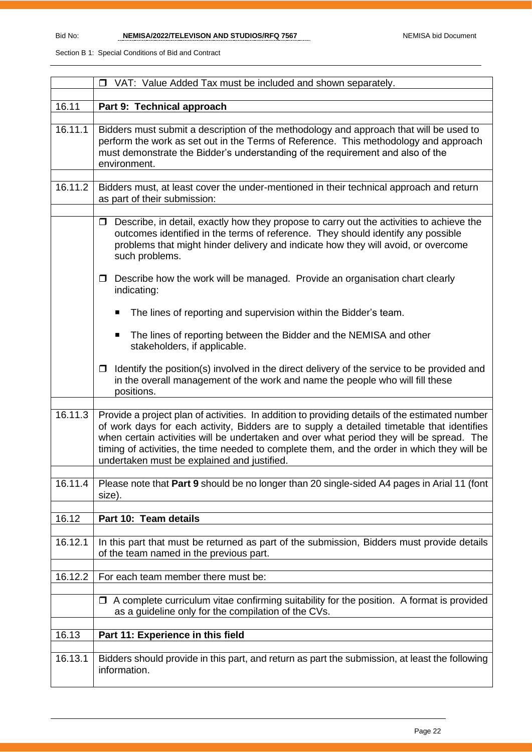|         | □ VAT: Value Added Tax must be included and shown separately.                                                                                                                                                                                                                                                                                                                                                                          |  |  |  |  |  |
|---------|----------------------------------------------------------------------------------------------------------------------------------------------------------------------------------------------------------------------------------------------------------------------------------------------------------------------------------------------------------------------------------------------------------------------------------------|--|--|--|--|--|
|         |                                                                                                                                                                                                                                                                                                                                                                                                                                        |  |  |  |  |  |
| 16.11   | Part 9: Technical approach                                                                                                                                                                                                                                                                                                                                                                                                             |  |  |  |  |  |
| 16.11.1 | Bidders must submit a description of the methodology and approach that will be used to<br>perform the work as set out in the Terms of Reference. This methodology and approach<br>must demonstrate the Bidder's understanding of the requirement and also of the<br>environment.                                                                                                                                                       |  |  |  |  |  |
| 16.11.2 | Bidders must, at least cover the under-mentioned in their technical approach and return<br>as part of their submission:                                                                                                                                                                                                                                                                                                                |  |  |  |  |  |
|         | Describe, in detail, exactly how they propose to carry out the activities to achieve the<br>$\Box$<br>outcomes identified in the terms of reference. They should identify any possible<br>problems that might hinder delivery and indicate how they will avoid, or overcome<br>such problems.                                                                                                                                          |  |  |  |  |  |
|         | Describe how the work will be managed. Provide an organisation chart clearly<br>$\Box$<br>indicating:                                                                                                                                                                                                                                                                                                                                  |  |  |  |  |  |
|         | The lines of reporting and supervision within the Bidder's team.<br>■                                                                                                                                                                                                                                                                                                                                                                  |  |  |  |  |  |
|         | The lines of reporting between the Bidder and the NEMISA and other<br>$\blacksquare$<br>stakeholders, if applicable.                                                                                                                                                                                                                                                                                                                   |  |  |  |  |  |
|         | Identify the position(s) involved in the direct delivery of the service to be provided and<br>$\Box$<br>in the overall management of the work and name the people who will fill these<br>positions.                                                                                                                                                                                                                                    |  |  |  |  |  |
| 16.11.3 | Provide a project plan of activities. In addition to providing details of the estimated number<br>of work days for each activity, Bidders are to supply a detailed timetable that identifies<br>when certain activities will be undertaken and over what period they will be spread. The<br>timing of activities, the time needed to complete them, and the order in which they will be<br>undertaken must be explained and justified. |  |  |  |  |  |
| 16.11.4 | Please note that Part 9 should be no longer than 20 single-sided A4 pages in Arial 11 (font<br>size).                                                                                                                                                                                                                                                                                                                                  |  |  |  |  |  |
| 16.12   | Part 10: Team details                                                                                                                                                                                                                                                                                                                                                                                                                  |  |  |  |  |  |
| 16.12.1 | In this part that must be returned as part of the submission, Bidders must provide details<br>of the team named in the previous part.                                                                                                                                                                                                                                                                                                  |  |  |  |  |  |
| 16.12.2 | For each team member there must be:                                                                                                                                                                                                                                                                                                                                                                                                    |  |  |  |  |  |
|         | $\Box$ A complete curriculum vitae confirming suitability for the position. A format is provided<br>as a guideline only for the compilation of the CVs.                                                                                                                                                                                                                                                                                |  |  |  |  |  |
| 16.13   | Part 11: Experience in this field                                                                                                                                                                                                                                                                                                                                                                                                      |  |  |  |  |  |
| 16.13.1 | Bidders should provide in this part, and return as part the submission, at least the following<br>information.                                                                                                                                                                                                                                                                                                                         |  |  |  |  |  |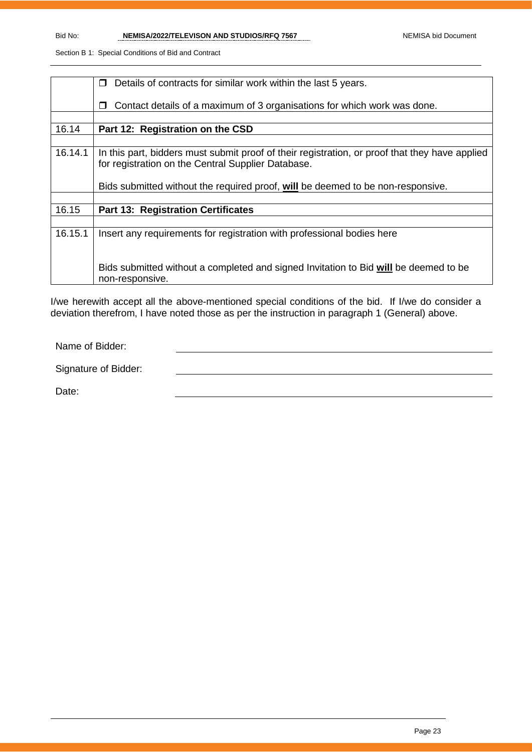|         | Details of contracts for similar work within the last 5 years.<br>П                            |
|---------|------------------------------------------------------------------------------------------------|
|         |                                                                                                |
|         |                                                                                                |
|         | Contact details of a maximum of 3 organisations for which work was done.<br>П                  |
|         |                                                                                                |
| 16.14   | Part 12: Registration on the CSD                                                               |
|         |                                                                                                |
| 16.14.1 | In this part, bidders must submit proof of their registration, or proof that they have applied |
|         | for registration on the Central Supplier Database.                                             |
|         |                                                                                                |
|         |                                                                                                |
|         | Bids submitted without the required proof, will be deemed to be non-responsive.                |
|         |                                                                                                |
|         |                                                                                                |
| 16.15   | <b>Part 13: Registration Certificates</b>                                                      |
|         |                                                                                                |
| 16.15.1 | Insert any requirements for registration with professional bodies here                         |
|         |                                                                                                |
|         |                                                                                                |
|         |                                                                                                |
|         | Bids submitted without a completed and signed Invitation to Bid will be deemed to be           |
|         |                                                                                                |
|         | non-responsive.                                                                                |

I/we herewith accept all the above-mentioned special conditions of the bid. If I/we do consider a deviation therefrom, I have noted those as per the instruction in paragraph 1 (General) above.

Name of Bidder:

Signature of Bidder:

Date: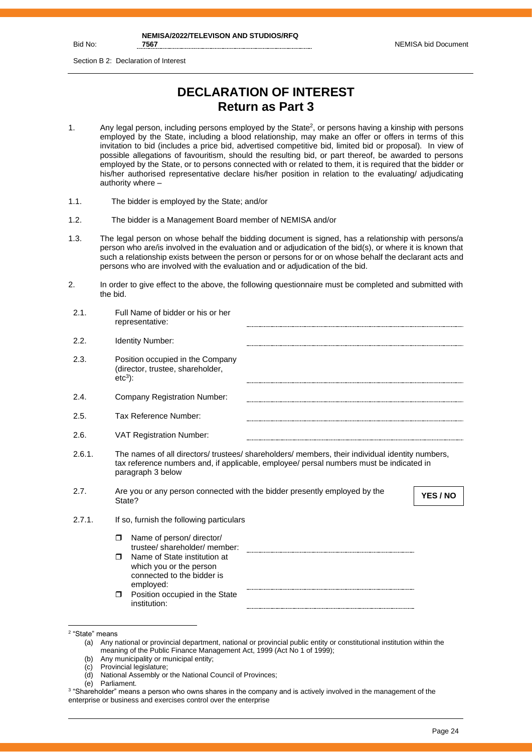Bid No:

Section B 2: Declaration of Interest

# **DECLARATION OF INTEREST Return as Part 3**

- 1. Any legal person, including persons employed by the State<sup>2</sup>, or persons having a kinship with persons employed by the State, including a blood relationship, may make an offer or offers in terms of this invitation to bid (includes a price bid, advertised competitive bid, limited bid or proposal). In view of possible allegations of favouritism, should the resulting bid, or part thereof, be awarded to persons employed by the State, or to persons connected with or related to them, it is required that the bidder or his/her authorised representative declare his/her position in relation to the evaluating/ adjudicating authority where –
- 1.1. The bidder is employed by the State; and/or
- 1.2. The bidder is a Management Board member of NEMISA and/or
- 1.3. The legal person on whose behalf the bidding document is signed, has a relationship with persons/a person who are/is involved in the evaluation and or adjudication of the bid(s), or where it is known that such a relationship exists between the person or persons for or on whose behalf the declarant acts and persons who are involved with the evaluation and or adjudication of the bid.
- 2. In order to give effect to the above, the following questionnaire must be completed and submitted with the bid.

| 2.1.   | Full Name of bidder or his or her<br>representative:                                                                                                                                                            |
|--------|-----------------------------------------------------------------------------------------------------------------------------------------------------------------------------------------------------------------|
| 2.2.   | <b>Identity Number:</b>                                                                                                                                                                                         |
| 2.3.   | Position occupied in the Company<br>(director, trustee, shareholder,<br>$etc3$ :                                                                                                                                |
| 2.4.   | <b>Company Registration Number:</b>                                                                                                                                                                             |
| 2.5.   | Tax Reference Number:                                                                                                                                                                                           |
| 2.6.   | <b>VAT Registration Number:</b>                                                                                                                                                                                 |
| 2.6.1. | The names of all directors/ trustees/ shareholders/ members, their individual identity numbers,<br>tax reference numbers and, if applicable, employee/ persal numbers must be indicated in<br>paragraph 3 below |
| 2.7.   | Are you or any person connected with the bidder presently employed by the<br>YES / NO<br>State?                                                                                                                 |
| 2.7.1. | If so, furnish the following particulars                                                                                                                                                                        |
|        | Name of person/ director/<br>$\Box$                                                                                                                                                                             |
|        | trustee/shareholder/member:<br>Name of State institution at<br>⊓<br>which you or the person<br>connected to the bidder is                                                                                       |
|        | employed:<br>Position occupied in the State<br>$\Box$<br>institution:                                                                                                                                           |

- (b) Any municipality or municipal entity;
- (c) Provincial legislature;
- (d) National Assembly or the National Council of Provinces;
- (e) Parliament.
- 3 "Shareholder" means a person who owns shares in the company and is actively involved in the management of the enterprise or business and exercises control over the enterprise

<sup>2</sup> "State" means

<sup>(</sup>a) Any national or provincial department, national or provincial public entity or constitutional institution within the meaning of the Public Finance Management Act, 1999 (Act No 1 of 1999);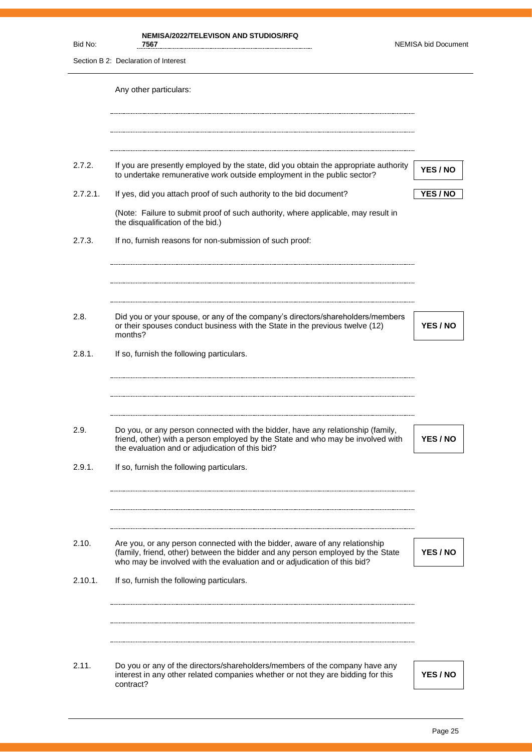| Bid No:        | <b>NEMISA/2022/TELEVISON AND STUDIOS/RFQ</b><br>7567                                                                                                                                                                                                               | <b>NEMISA bid Document</b> |
|----------------|--------------------------------------------------------------------------------------------------------------------------------------------------------------------------------------------------------------------------------------------------------------------|----------------------------|
|                | Section B 2: Declaration of Interest                                                                                                                                                                                                                               |                            |
|                | Any other particulars:                                                                                                                                                                                                                                             |                            |
| 2.7.2.         | If you are presently employed by the state, did you obtain the appropriate authority<br>to undertake remunerative work outside employment in the public sector?                                                                                                    | YES / NO                   |
| 2.7.2.1.       | If yes, did you attach proof of such authority to the bid document?                                                                                                                                                                                                | YES / NO                   |
|                | (Note: Failure to submit proof of such authority, where applicable, may result in<br>the disqualification of the bid.)                                                                                                                                             |                            |
| 2.7.3.         | If no, furnish reasons for non-submission of such proof:                                                                                                                                                                                                           |                            |
| 2.8.           | Did you or your spouse, or any of the company's directors/shareholders/members<br>or their spouses conduct business with the State in the previous twelve (12)<br>months?                                                                                          | YES / NO                   |
| 2.8.1.         | If so, furnish the following particulars.                                                                                                                                                                                                                          |                            |
| 2.9.<br>2.9.1. | Do you, or any person connected with the bidder, have any relationship (family,<br>friend, other) with a person employed by the State and who may be involved with<br>the evaluation and or adjudication of this bid?<br>If so, furnish the following particulars. | YES / NO                   |
| 2.10.          | Are you, or any person connected with the bidder, aware of any relationship<br>(family, friend, other) between the bidder and any person employed by the State<br>who may be involved with the evaluation and or adjudication of this bid?                         | YES / NO                   |
| 2.10.1.        | If so, furnish the following particulars.                                                                                                                                                                                                                          |                            |
| 2.11.          | Do you or any of the directors/shareholders/members of the company have any<br>interest in any other related companies whether or not they are bidding for this<br>contract?                                                                                       | YES / NO                   |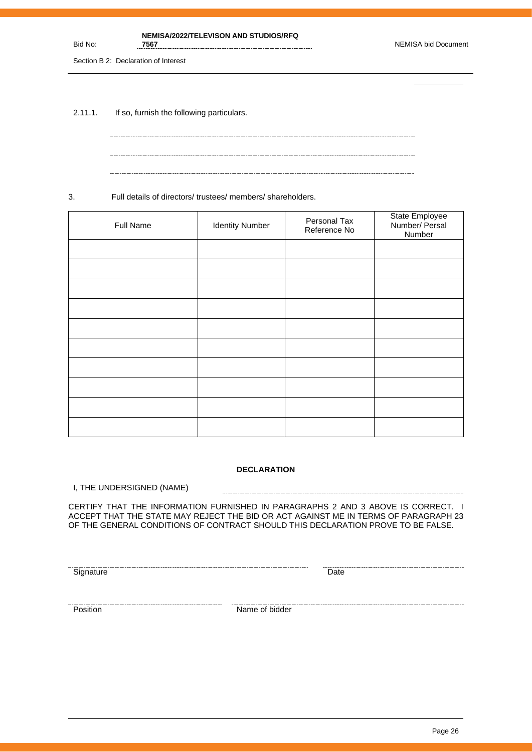#### **NEMISA/2022/TELEVISON AND STUDIOS/RFQ**

Section B 2: Declaration of Interest

Bid No:

2.11.1. If so, furnish the following particulars.

3. Full details of directors/ trustees/ members/ shareholders.

| Full Name | <b>Identity Number</b> | Personal Tax<br>Reference No | State Employee<br>Number/ Persal<br>Number |
|-----------|------------------------|------------------------------|--------------------------------------------|
|           |                        |                              |                                            |
|           |                        |                              |                                            |
|           |                        |                              |                                            |
|           |                        |                              |                                            |
|           |                        |                              |                                            |
|           |                        |                              |                                            |
|           |                        |                              |                                            |
|           |                        |                              |                                            |
|           |                        |                              |                                            |
|           |                        |                              |                                            |

#### **DECLARATION**

........................

I, THE UNDERSIGNED (NAME)

CERTIFY THAT THE INFORMATION FURNISHED IN PARAGRAPHS 2 AND 3 ABOVE IS CORRECT. I ACCEPT THAT THE STATE MAY REJECT THE BID OR ACT AGAINST ME IN TERMS OF PARAGRAPH 23 OF THE GENERAL CONDITIONS OF CONTRACT SHOULD THIS DECLARATION PROVE TO BE FALSE.

<u>Signature</u> Date **Construction Construction** Date **Construction** Date **Construction** Date

**Position** Name of bidder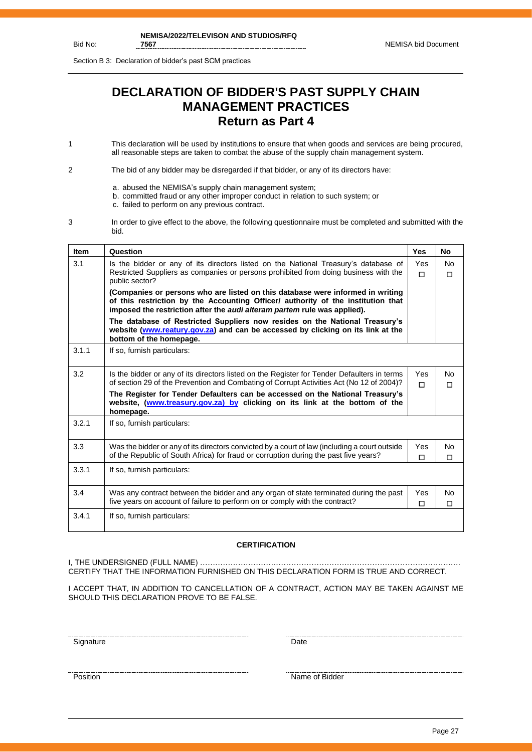Section B 3: Declaration of bidder's past SCM practices

# **DECLARATION OF BIDDER'S PAST SUPPLY CHAIN MANAGEMENT PRACTICES Return as Part 4**

1 This declaration will be used by institutions to ensure that when goods and services are being procured, all reasonable steps are taken to combat the abuse of the supply chain management system.

2 The bid of any bidder may be disregarded if that bidder, or any of its directors have:

- a. abused the NEMISA's supply chain management system;
- b. committed fraud or any other improper conduct in relation to such system; or
- c. failed to perform on any previous contract.
- 3 In order to give effect to the above, the following questionnaire must be completed and submitted with the bid.

| <b>Item</b> | Question                                                                                                                                                                                                                                       | <b>Yes</b>      | No.                 |
|-------------|------------------------------------------------------------------------------------------------------------------------------------------------------------------------------------------------------------------------------------------------|-----------------|---------------------|
| 3.1         | Is the bidder or any of its directors listed on the National Treasury's database of<br>Restricted Suppliers as companies or persons prohibited from doing business with the<br>public sector?                                                  | Yes<br>$\Box$   | <b>No</b><br>$\Box$ |
|             | (Companies or persons who are listed on this database were informed in writing<br>of this restriction by the Accounting Officer/ authority of the institution that<br>imposed the restriction after the audi alteram partem rule was applied). |                 |                     |
|             | The database of Restricted Suppliers now resides on the National Treasury's<br>website (www.reatury.gov.za) and can be accessed by clicking on its link at the<br>bottom of the homepage.                                                      |                 |                     |
| 3.1.1       | If so, furnish particulars:                                                                                                                                                                                                                    |                 |                     |
| 3.2         | Is the bidder or any of its directors listed on the Register for Tender Defaulters in terms<br>of section 29 of the Prevention and Combating of Corrupt Activities Act (No 12 of 2004)?                                                        | Yes.<br>п       | No.<br>$\Box$       |
|             | The Register for Tender Defaulters can be accessed on the National Treasury's<br>website, (www.treasury.gov.za) by clicking on its link at the bottom of the<br>homepage.                                                                      |                 |                     |
| 3.2.1       | If so, furnish particulars:                                                                                                                                                                                                                    |                 |                     |
| 3.3         | Was the bidder or any of its directors convicted by a court of law (including a court outside<br>of the Republic of South Africa) for fraud or corruption during the past five years?                                                          | <b>Yes</b><br>П | No<br>П             |
| 3.3.1       | If so, furnish particulars:                                                                                                                                                                                                                    |                 |                     |
| 3.4         | Was any contract between the bidder and any organ of state terminated during the past<br>five years on account of failure to perform on or comply with the contract?                                                                           | Yes<br>$\Box$   | No<br>П             |
| 3.4.1       | If so, furnish particulars:                                                                                                                                                                                                                    |                 |                     |

#### **CERTIFICATION**

I, THE UNDERSIGNED (FULL NAME) …………………………………………………………………………………………. CERTIFY THAT THE INFORMATION FURNISHED ON THIS DECLARATION FORM IS TRUE AND CORRECT.

I ACCEPT THAT, IN ADDITION TO CANCELLATION OF A CONTRACT, ACTION MAY BE TAKEN AGAINST ME SHOULD THIS DECLARATION PROVE TO BE FALSE.

<u>Signature Date</u>

<u>Position</u> Name of Bidder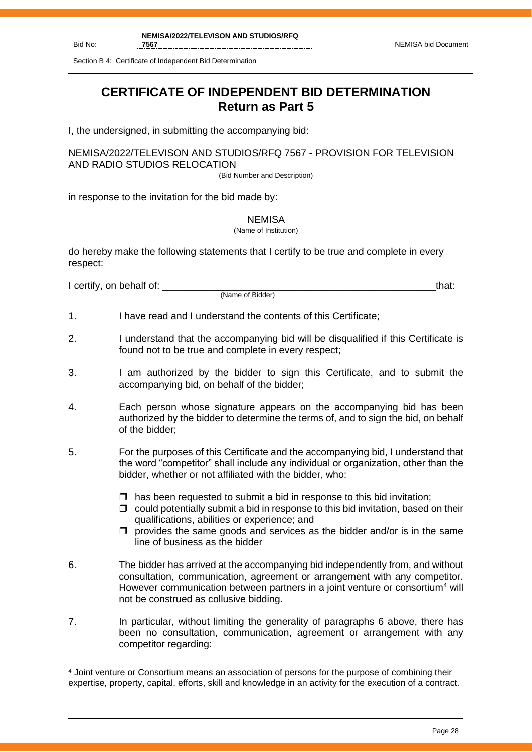Section B 4: Certificate of Independent Bid Determination

# **CERTIFICATE OF INDEPENDENT BID DETERMINATION Return as Part 5**

I, the undersigned, in submitting the accompanying bid:

NEMISA/2022/TELEVISON AND STUDIOS/RFQ 7567 - PROVISION FOR TELEVISION AND RADIO STUDIOS RELOCATION

(Bid Number and Description)

in response to the invitation for the bid made by:

**NEMISA** (Name of Institution)

do hereby make the following statements that I certify to be true and complete in every respect:

I certify, on behalf of: the state of the state of the state of the state of the state of the state of the stat

(Name of Bidder)

- 1. I have read and I understand the contents of this Certificate;
- 2. I understand that the accompanying bid will be disqualified if this Certificate is found not to be true and complete in every respect;
- 3. I am authorized by the bidder to sign this Certificate, and to submit the accompanying bid, on behalf of the bidder;
- 4. Each person whose signature appears on the accompanying bid has been authorized by the bidder to determine the terms of, and to sign the bid, on behalf of the bidder;
- 5. For the purposes of this Certificate and the accompanying bid, I understand that the word "competitor" shall include any individual or organization, other than the bidder, whether or not affiliated with the bidder, who:
	- $\Box$  has been requested to submit a bid in response to this bid invitation:
	- $\Box$  could potentially submit a bid in response to this bid invitation, based on their qualifications, abilities or experience; and
	- $\Box$  provides the same goods and services as the bidder and/or is in the same line of business as the bidder
- 6. The bidder has arrived at the accompanying bid independently from, and without consultation, communication, agreement or arrangement with any competitor. However communication between partners in a joint venture or consortium<sup>4</sup> will not be construed as collusive bidding.
- 7. In particular, without limiting the generality of paragraphs 6 above, there has been no consultation, communication, agreement or arrangement with any competitor regarding:

<sup>4</sup> Joint venture or Consortium means an association of persons for the purpose of combining their expertise, property, capital, efforts, skill and knowledge in an activity for the execution of a contract.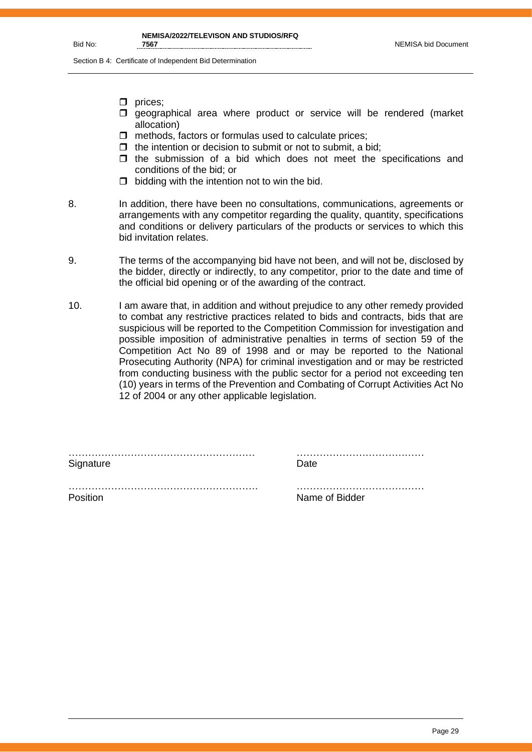Section B 4: Certificate of Independent Bid Determination

- $\Box$  prices;
- $\square$  geographical area where product or service will be rendered (market allocation)
- $\Box$  methods, factors or formulas used to calculate prices;
- $\Box$  the intention or decision to submit or not to submit, a bid;
- $\Box$  the submission of a bid which does not meet the specifications and conditions of the bid; or
- $\Box$  bidding with the intention not to win the bid.
- 8. In addition, there have been no consultations, communications, agreements or arrangements with any competitor regarding the quality, quantity, specifications and conditions or delivery particulars of the products or services to which this bid invitation relates.
- 9. The terms of the accompanying bid have not been, and will not be, disclosed by the bidder, directly or indirectly, to any competitor, prior to the date and time of the official bid opening or of the awarding of the contract.
- 10. I am aware that, in addition and without prejudice to any other remedy provided to combat any restrictive practices related to bids and contracts, bids that are suspicious will be reported to the Competition Commission for investigation and possible imposition of administrative penalties in terms of section 59 of the Competition Act No 89 of 1998 and or may be reported to the National Prosecuting Authority (NPA) for criminal investigation and or may be restricted from conducting business with the public sector for a period not exceeding ten (10) years in terms of the Prevention and Combating of Corrupt Activities Act No 12 of 2004 or any other applicable legislation.

………………………………………………… ………………………………… Signature Date Date

 $\mathcal{L}^{\text{max}}$ Position **Name of Bidder**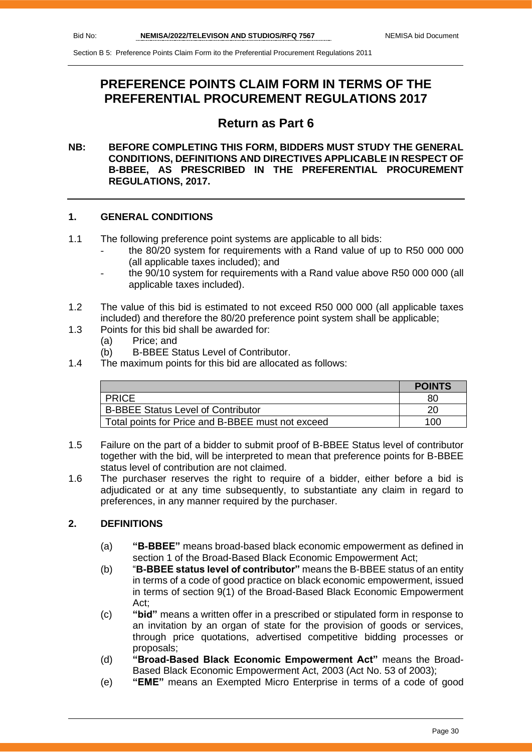# **PREFERENCE POINTS CLAIM FORM IN TERMS OF THE PREFERENTIAL PROCUREMENT REGULATIONS 2017**

## **Return as Part 6**

#### **NB: BEFORE COMPLETING THIS FORM, BIDDERS MUST STUDY THE GENERAL CONDITIONS, DEFINITIONS AND DIRECTIVES APPLICABLE IN RESPECT OF B-BBEE, AS PRESCRIBED IN THE PREFERENTIAL PROCUREMENT REGULATIONS, 2017.**

#### **1. GENERAL CONDITIONS**

- 1.1 The following preference point systems are applicable to all bids:
	- the 80/20 system for requirements with a Rand value of up to R50 000 000 (all applicable taxes included); and
	- the 90/10 system for requirements with a Rand value above R50 000 000 (all applicable taxes included).
- 1.2 The value of this bid is estimated to not exceed R50 000 000 (all applicable taxes included) and therefore the 80/20 preference point system shall be applicable;
- 1.3 Points for this bid shall be awarded for:
	- (a) Price; and
	- (b) B-BBEE Status Level of Contributor.
- 1.4 The maximum points for this bid are allocated as follows:

|                                                   | <b>POINTS</b> |
|---------------------------------------------------|---------------|
| <b>PRICE</b>                                      | 80            |
| <b>B-BBEE Status Level of Contributor</b>         |               |
| Total points for Price and B-BBEE must not exceed | 100           |

- 1.5 Failure on the part of a bidder to submit proof of B-BBEE Status level of contributor together with the bid, will be interpreted to mean that preference points for B-BBEE status level of contribution are not claimed.
- 1.6 The purchaser reserves the right to require of a bidder, either before a bid is adjudicated or at any time subsequently, to substantiate any claim in regard to preferences, in any manner required by the purchaser.

#### **2. DEFINITIONS**

- (a) **"B-BBEE"** means broad-based black economic empowerment as defined in section 1 of the Broad-Based Black Economic Empowerment Act;
- (b) "**B-BBEE status level of contributor"** means the B-BBEE status of an entity in terms of a code of good practice on black economic empowerment, issued in terms of section 9(1) of the Broad-Based Black Economic Empowerment Act;
- (c) **"bid"** means a written offer in a prescribed or stipulated form in response to an invitation by an organ of state for the provision of goods or services, through price quotations, advertised competitive bidding processes or proposals;
- (d) **"Broad-Based Black Economic Empowerment Act"** means the Broad-Based Black Economic Empowerment Act, 2003 (Act No. 53 of 2003);
- (e) **"EME"** means an Exempted Micro Enterprise in terms of a code of good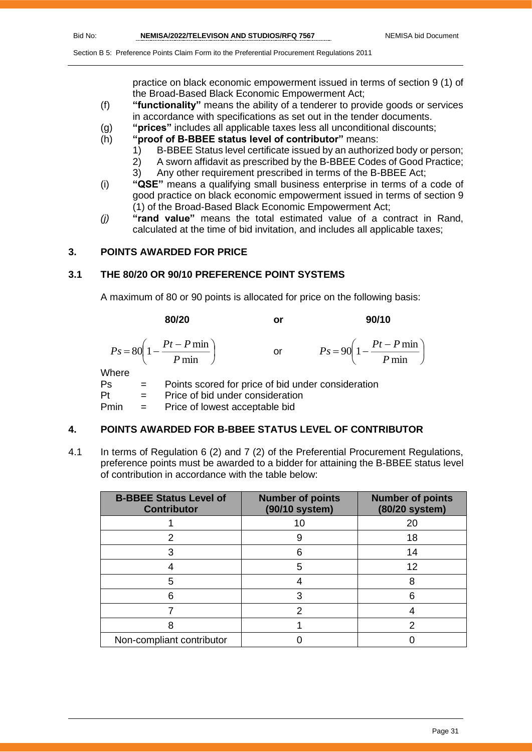$\overline{\phantom{a}}$  $\bigg)$ 

Section B 5: Preference Points Claim Form ito the Preferential Procurement Regulations 2011

practice on black economic empowerment issued in terms of section 9 (1) of the Broad-Based Black Economic Empowerment Act;

- (f) **"functionality"** means the ability of a tenderer to provide goods or services in accordance with specifications as set out in the tender documents.
- (g) **"prices"** includes all applicable taxes less all unconditional discounts;
- (h) **"proof of B-BBEE status level of contributor"** means:
	- 1) B-BBEE Status level certificate issued by an authorized body or person;
		- 2) A sworn affidavit as prescribed by the B-BBEE Codes of Good Practice;
	- 3) Any other requirement prescribed in terms of the B-BBEE Act;
- (i) **"QSE"** means a qualifying small business enterprise in terms of a code of good practice on black economic empowerment issued in terms of section 9 (1) of the Broad-Based Black Economic Empowerment Act;
- *(j)* **"rand value"** means the total estimated value of a contract in Rand, calculated at the time of bid invitation, and includes all applicable taxes;

#### **3. POINTS AWARDED FOR PRICE**

#### **3.1 THE 80/20 OR 90/10 PREFERENCE POINT SYSTEMS**

A maximum of 80 or 90 points is allocated for price on the following basis:

**80/20 or 90/10**  $\overline{\phantom{a}}$ J  $\left(1-\frac{Pt-P\min}{P}\right)$  $\setminus$  $=80\left(1-\frac{Pt-}{2}\right)$ min  $80\left(1-\frac{Pt-P\min}{\sum_{i=1}^{n}H_i}\right)$ *P*  $P_s = 80 \left( 1 - \frac{Pt - P}{r} \right)$ or  $\left(1-\frac{Pt-P\min}{\epsilon}\right)$ l  $= 90\left(1 - \frac{Pt - P \ln \theta}{P \ln \theta}\right)$  $90 \left( 1 - \frac{Pt - P \min}{\sigma} \right)$ *P*  $P_s = 90 \left( 1 - \frac{Pt - P}{F} \right)$ **Where** 

Ps = Points scored for price of bid under consideration Pt = Price of bid under consideration  $Pmin =$  Price of lowest acceptable bid

#### **4. POINTS AWARDED FOR B-BBEE STATUS LEVEL OF CONTRIBUTOR**

4.1 In terms of Regulation 6 (2) and 7 (2) of the Preferential Procurement Regulations, preference points must be awarded to a bidder for attaining the B-BBEE status level of contribution in accordance with the table below:

| <b>B-BBEE Status Level of</b><br><b>Contributor</b> | <b>Number of points</b><br>(90/10 system) | <b>Number of points</b><br>(80/20 system) |
|-----------------------------------------------------|-------------------------------------------|-------------------------------------------|
|                                                     | 10                                        | 20                                        |
|                                                     | 9                                         | 18                                        |
| 3                                                   | 6                                         | 14                                        |
|                                                     | 5                                         | 12                                        |
| 5                                                   |                                           | 8                                         |
| հ                                                   |                                           |                                           |
|                                                     | っ                                         |                                           |
|                                                     |                                           |                                           |
| Non-compliant contributor                           |                                           |                                           |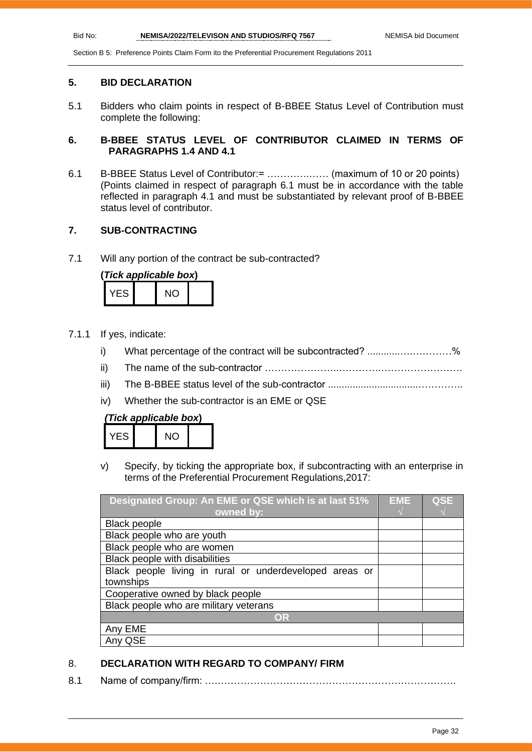#### **5. BID DECLARATION**

5.1 Bidders who claim points in respect of B-BBEE Status Level of Contribution must complete the following:

#### **6. B-BBEE STATUS LEVEL OF CONTRIBUTOR CLAIMED IN TERMS OF PARAGRAPHS 1.4 AND 4.1**

6.1 B-BBEE Status Level of Contributor:= ………….…… (maximum of 10 or 20 points) (Points claimed in respect of paragraph 6.1 must be in accordance with the table reflected in paragraph 4.1 and must be substantiated by relevant proof of B-BBEE status level of contributor.

#### **7. SUB-CONTRACTING**

7.1 Will any portion of the contract be sub-contracted?

| (Tick applicable box) |  |     |  |  |  |
|-----------------------|--|-----|--|--|--|
| YFS.                  |  | NO. |  |  |  |

- 7.1.1 If yes, indicate:
	- i) What percentage of the contract will be subcontracted? ..........................%
	- ii) The name of the sub-contractor …………………..………….…………………….
	- iii) The B-BBEE status level of the sub-contractor .................................…………..
	- iv) Whether the sub-contractor is an EME or QSE

| (Tick applicable box) |  |  |
|-----------------------|--|--|
|-----------------------|--|--|

| $\overline{\mathsf{S}}$ | NC. |  |
|-------------------------|-----|--|
|                         |     |  |

v) Specify, by ticking the appropriate box, if subcontracting with an enterprise in terms of the Preferential Procurement Regulations,2017:

| Designated Group: An EME or QSE which is at last 51%    |  | <b>QSE</b> |
|---------------------------------------------------------|--|------------|
| owned by:                                               |  |            |
| <b>Black people</b>                                     |  |            |
| Black people who are youth                              |  |            |
| Black people who are women                              |  |            |
| Black people with disabilities                          |  |            |
| Black people living in rural or underdeveloped areas or |  |            |
| townships                                               |  |            |
| Cooperative owned by black people                       |  |            |
| Black people who are military veterans                  |  |            |
| OR                                                      |  |            |
| Any EME                                                 |  |            |
| QSE                                                     |  |            |

#### 8. **DECLARATION WITH REGARD TO COMPANY/ FIRM**

8.1 Name of company/firm: ….……………………………………………………………….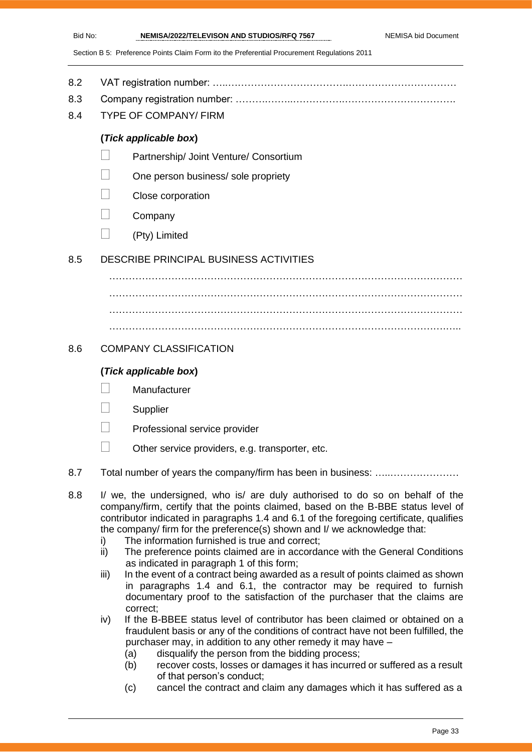- 8.2 VAT registration number: …..……………………………….……………………………
- 8.3 Company registration number: ……….……..…………….…………………………….
- 8.4 TYPE OF COMPANY/ FIRM

#### **(***Tick applicable box***)**

- Partnership/ Joint Venture/ Consortium
- One person business/ sole propriety
- Close corporation
- **Company**
- $\Box$  (Pty) Limited

#### 8.5 DESCRIBE PRINCIPAL BUSINESS ACTIVITIES

……………………………………………………………………………………………… ……………………………………………………………………………………………… ……………………………………………………………………………………………… ………………………………………………………………………………………….…..

#### 8.6 COMPANY CLASSIFICATION

#### **(***Tick applicable box***)**

- **Manufacturer**
- **Supplier**
- Professional service provider
- $\Box$  Other service providers, e.g. transporter, etc.
- 8.7 Total number of years the company/firm has been in business: …………………………
- 8.8 I/ we, the undersigned, who is/ are duly authorised to do so on behalf of the company/firm, certify that the points claimed, based on the B-BBE status level of contributor indicated in paragraphs 1.4 and 6.1 of the foregoing certificate, qualifies the company/ firm for the preference(s) shown and I/ we acknowledge that:
	- i) The information furnished is true and correct;
	- ii) The preference points claimed are in accordance with the General Conditions as indicated in paragraph 1 of this form;
	- iii) In the event of a contract being awarded as a result of points claimed as shown in paragraphs 1.4 and 6.1, the contractor may be required to furnish documentary proof to the satisfaction of the purchaser that the claims are correct;
	- iv) If the B-BBEE status level of contributor has been claimed or obtained on a fraudulent basis or any of the conditions of contract have not been fulfilled, the purchaser may, in addition to any other remedy it may have –
		- (a) disqualify the person from the bidding process;
		- (b) recover costs, losses or damages it has incurred or suffered as a result of that person's conduct;
		- (c) cancel the contract and claim any damages which it has suffered as a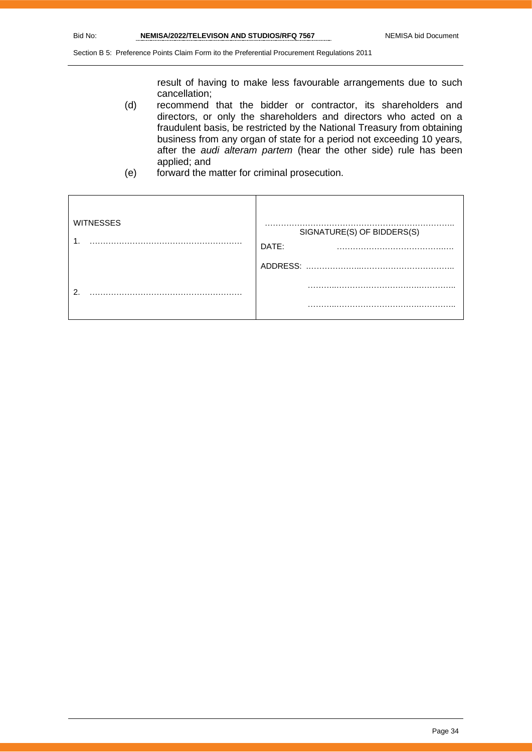result of having to make less favourable arrangements due to such cancellation;

- (d) recommend that the bidder or contractor, its shareholders and directors, or only the shareholders and directors who acted on a fraudulent basis, be restricted by the National Treasury from obtaining business from any organ of state for a period not exceeding 10 years, after the *audi alteram partem* (hear the other side) rule has been applied; and
- (e) forward the matter for criminal prosecution.

| <b>WITNESSES</b> | SIGNATURE(S) OF BIDDERS(S)<br>DATE:<br>$\cdot$ . |
|------------------|--------------------------------------------------|
|                  | ADDRESS:                                         |
| റ                |                                                  |
|                  | .                                                |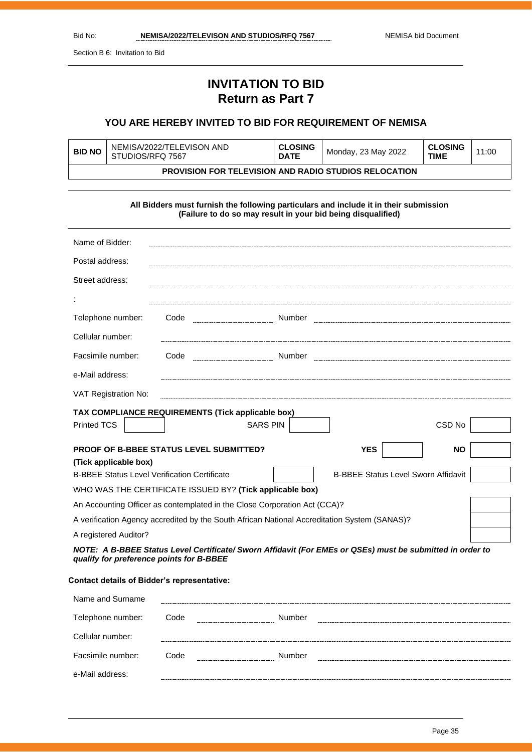Section B 6: Invitation to Bid

# **INVITATION TO BID Return as Part 7**

#### **YOU ARE HEREBY INVITED TO BID FOR REQUIREMENT OF NEMISA**

| <b>BID NO</b>                                                | NEMISA/2022/TELEVISON AND<br>STUDIOS/RFQ 7567 | <b>CLOSING</b><br><b>DATE</b> | Monday, 23 May 2022 | <b>CLOSING</b><br><b>TIME</b> | 11:00 |
|--------------------------------------------------------------|-----------------------------------------------|-------------------------------|---------------------|-------------------------------|-------|
| <b>PROVISION FOR TELEVISION AND RADIO STUDIOS RELOCATION</b> |                                               |                               |                     |                               |       |

|                                                                                                                                                       | All Bidders must furnish the following particulars and include it in their submission<br>(Failure to do so may result in your bid being disqualified) |  |                                            |           |
|-------------------------------------------------------------------------------------------------------------------------------------------------------|-------------------------------------------------------------------------------------------------------------------------------------------------------|--|--------------------------------------------|-----------|
|                                                                                                                                                       |                                                                                                                                                       |  |                                            |           |
| Name of Bidder:                                                                                                                                       |                                                                                                                                                       |  |                                            |           |
| Postal address:                                                                                                                                       |                                                                                                                                                       |  |                                            |           |
| Street address:                                                                                                                                       |                                                                                                                                                       |  |                                            |           |
|                                                                                                                                                       |                                                                                                                                                       |  |                                            |           |
| Telephone number:                                                                                                                                     | Code                                                                                                                                                  |  |                                            |           |
| Cellular number:                                                                                                                                      |                                                                                                                                                       |  |                                            |           |
| Facsimile number:                                                                                                                                     |                                                                                                                                                       |  |                                            |           |
| e-Mail address:                                                                                                                                       |                                                                                                                                                       |  |                                            |           |
| VAT Registration No:                                                                                                                                  |                                                                                                                                                       |  |                                            |           |
|                                                                                                                                                       | TAX COMPLIANCE REQUIREMENTS (Tick applicable box)                                                                                                     |  |                                            |           |
| <b>Printed TCS</b>                                                                                                                                    | <b>SARS PIN</b>                                                                                                                                       |  |                                            | CSD No    |
|                                                                                                                                                       | <b>PROOF OF B-BBEE STATUS LEVEL SUBMITTED?</b>                                                                                                        |  | <b>YES</b>                                 | <b>NO</b> |
| (Tick applicable box)                                                                                                                                 |                                                                                                                                                       |  |                                            |           |
| <b>B-BBEE Status Level Verification Certificate</b>                                                                                                   |                                                                                                                                                       |  | <b>B-BBEE Status Level Sworn Affidavit</b> |           |
| WHO WAS THE CERTIFICATE ISSUED BY? (Tick applicable box)                                                                                              |                                                                                                                                                       |  |                                            |           |
| An Accounting Officer as contemplated in the Close Corporation Act (CCA)?                                                                             |                                                                                                                                                       |  |                                            |           |
| A verification Agency accredited by the South African National Accreditation System (SANAS)?                                                          |                                                                                                                                                       |  |                                            |           |
| A registered Auditor?                                                                                                                                 |                                                                                                                                                       |  |                                            |           |
| NOTE: A B-BBEE Status Level Certificate/ Sworn Affidavit (For EMEs or QSEs) must be submitted in order to<br>qualify for preference points for B-BBEE |                                                                                                                                                       |  |                                            |           |

#### **Contact details of Bidder's representative:**

| Name and Surname  |      |        |  |
|-------------------|------|--------|--|
| Telephone number: | Code | Number |  |
| Cellular number:  |      |        |  |
| Facsimile number: | Code | Number |  |
| e-Mail address:   |      |        |  |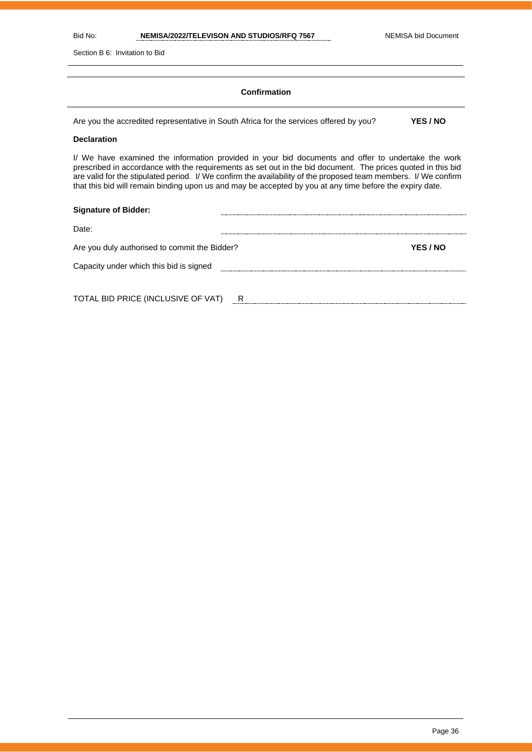Section B 6: Invitation to Bid

#### **Confirmation**

Are you the accredited representative in South Africa for the services offered by you? **YES / NO**

#### **Declaration**

I/ We have examined the information provided in your bid documents and offer to undertake the work prescribed in accordance with the requirements as set out in the bid document. The prices quoted in this bid are valid for the stipulated period. I/ We confirm the availability of the proposed team members. I/ We confirm that this bid will remain binding upon us and may be accepted by you at any time before the expiry date.

| <b>Signature of Bidder:</b>                   |   |          |
|-----------------------------------------------|---|----------|
| Date:                                         |   |          |
| Are you duly authorised to commit the Bidder? |   | YES / NO |
| Capacity under which this bid is signed       |   |          |
|                                               |   |          |
| TOTAL BID PRICE (INCLUSIVE OF VAT)            | R |          |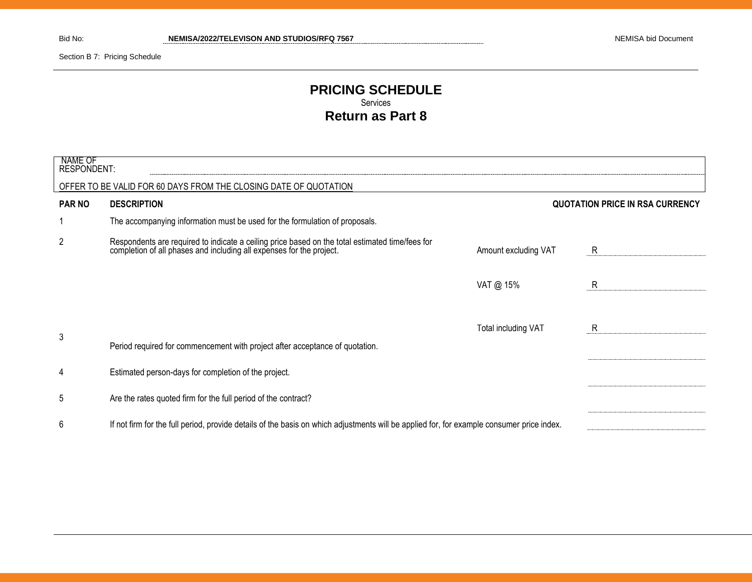Section B 7: Pricing Schedule

#### **PRICING SCHEDULE** Services **Return as Part 8**

| NAME OF<br><b>RESPONDENT:</b> |                                                                                                                                                                      |                      |                                        |
|-------------------------------|----------------------------------------------------------------------------------------------------------------------------------------------------------------------|----------------------|----------------------------------------|
|                               | OFFER TO BE VALID FOR 60 DAYS FROM THE CLOSING DATE OF QUOTATION                                                                                                     |                      |                                        |
| <b>PAR NO</b>                 | <b>DESCRIPTION</b>                                                                                                                                                   |                      | <b>QUOTATION PRICE IN RSA CURRENCY</b> |
|                               | The accompanying information must be used for the formulation of proposals.                                                                                          |                      |                                        |
| 2                             | Respondents are required to indicate a ceiling price based on the total estimated time/fees for completion of all phases and including all expenses for the project. | Amount excluding VAT | R.                                     |
|                               |                                                                                                                                                                      | VAT @ 15%            | R                                      |
| 3                             | Period required for commencement with project after acceptance of quotation.                                                                                         | Total including VAT  | R                                      |
| 4                             | Estimated person-days for completion of the project.                                                                                                                 |                      |                                        |
| 5                             | Are the rates quoted firm for the full period of the contract?                                                                                                       |                      |                                        |
| 6                             | If not firm for the full period, provide details of the basis on which adjustments will be applied for, for example consumer price index.                            |                      |                                        |